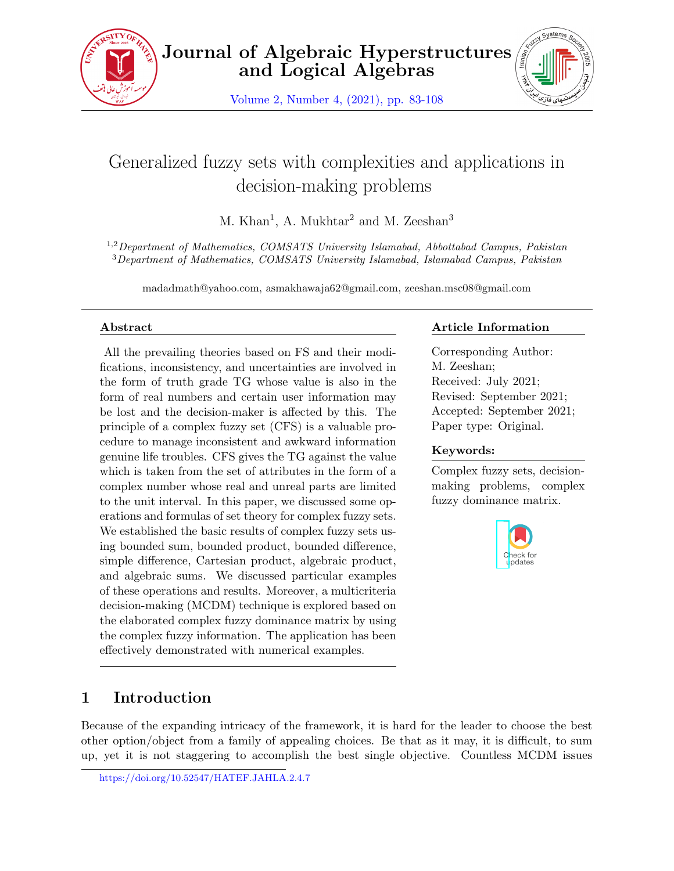

**Journal of Algebraic Hyperstructures and Logical Algebras**

Volume 2, Number 4, (2021), pp. 83-108



# Generalized fuzzy sets with complexities and applications in decision-making problems

M. Khan<sup>1</sup>, A. Mukhtar<sup>2</sup> and M. Zeeshan<sup>3</sup>

1,2*Department of Mathematics, COMSATS University Islamabad, Abbottabad Campus, Pakistan* <sup>3</sup>*Department of Mathematics, COMSATS University Islamabad, Islamabad Campus, Pakistan*

madadmath@yahoo.com, asmakhawaja62@gmail.com, zeeshan.msc08@gmail.com

### **Abstract**

All the prevailing theories based on FS and their modifications, inconsistency, and uncertainties are involved in the form of truth grade TG whose value is also in the form of real numbers and certain user information may be lost and the decision-maker is affected by this. The principle of a complex fuzzy set (CFS) is a valuable procedure to manage inconsistent and awkward information genuine life troubles. CFS gives the TG against the value which is taken from the set of attributes in the form of a complex number whose real and unreal parts are limited to the unit interval. In this paper, we discussed some operations and formulas of set theory for complex fuzzy sets. We established the basic results of complex fuzzy sets using bounded sum, bounded product, bounded difference, simple difference, Cartesian product, algebraic product, and algebraic sums. We discussed particular examples of these operations and results. Moreover, a multicriteria decision-making (MCDM) technique is explored based on the elaborated complex fuzzy dominance matrix by using the complex fuzzy information. The application has been effectively demonstrated with numerical examples.

## **Article Information**

Corresponding Author: M. Zeeshan; Received: July 2021; Revised: September 2021; Accepted: September 2021; Paper type: Original.

## **Keywords:**

Complex fuzzy sets, decisionmaking problems, complex fuzzy dominance matrix.



## **1 Introduction**

Because of the expanding intricacy of the framework, it is hard for the leader to choose the best other option/object from a family of appealing choices. Be that as it may, it is difficult, to sum up, yet it is not staggering to accomplish the best single objective. Countless MCDM issues

https://doi.org/10.52547/HATEF.JAHLA.2.4.7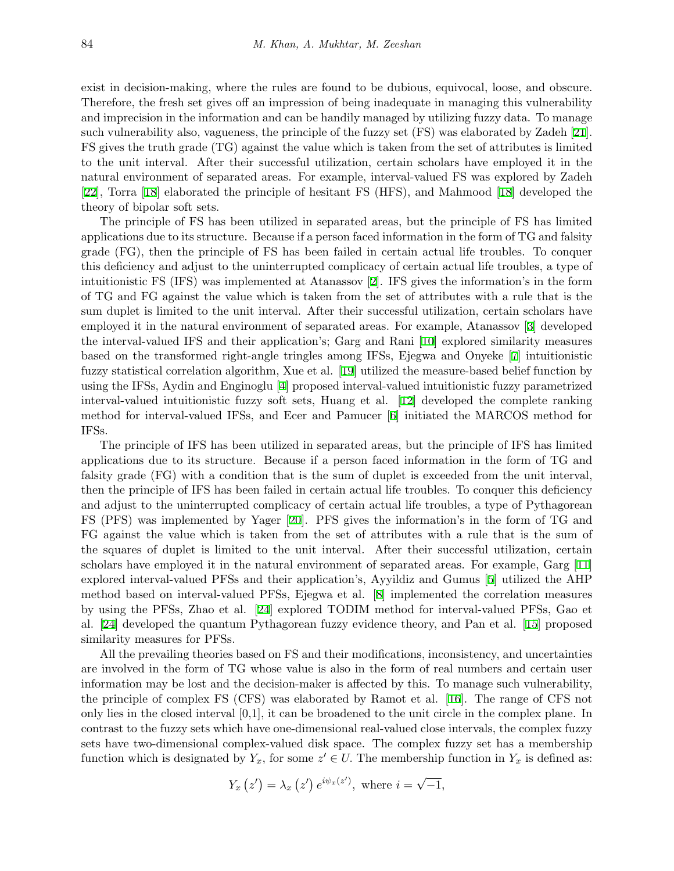exist in decision-making, where the rules are found to be dubious, equivocal, loose, and obscure. Therefore, the fresh set gives off an impression of being inadequate in managing this vulnerability and imprecision in the information and can be handily managed by utilizing fuzzy data. To manage such vulnerability also, vagueness, the principle of the fuzzy set (FS) was elaborated by Zadeh [[21](#page-24-0)]. FS gives the truth grade (TG) against the value which is taken from the set of attributes is limited to the unit interval. After their successful utilization, certain scholars have employed it in the natural environment of separated areas. For example, interval-valued FS was explored by Zadeh [[22\]](#page-24-1), Torra [\[18](#page-24-2)] elaborated the principle of hesitant FS (HFS), and Mahmood [[18](#page-24-2)] developed the theory of bipolar soft sets.

The principle of FS has been utilized in separated areas, but the principle of FS has limited applications due to its structure. Because if a person faced information in the form of TG and falsity grade (FG), then the principle of FS has been failed in certain actual life troubles. To conquer this deficiency and adjust to the uninterrupted complicacy of certain actual life troubles, a type of intuitionistic FS (IFS) was implemented at Atanassov [[2](#page-23-0)]. IFS gives the information's in the form of TG and FG against the value which is taken from the set of attributes with a rule that is the sum duplet is limited to the unit interval. After their successful utilization, certain scholars have employed it in the natural environment of separated areas. For example, Atanassov [[3\]](#page-23-1) developed the interval-valued IFS and their application's; Garg and Rani [[10](#page-24-3)] explored similarity measures based on the transformed right-angle tringles among IFSs, Ejegwa and Onyeke [[7\]](#page-24-4) intuitionistic fuzzy statistical correlation algorithm, Xue et al. [[19](#page-24-5)] utilized the measure-based belief function by using the IFSs, Aydin and Enginoglu [\[4\]](#page-23-2) proposed interval-valued intuitionistic fuzzy parametrized interval-valued intuitionistic fuzzy soft sets, Huang et al. [\[12](#page-24-6)] developed the complete ranking method for interval-valued IFSs, and Ecer and Pamucer [[6](#page-23-3)] initiated the MARCOS method for IFSs.

The principle of IFS has been utilized in separated areas, but the principle of IFS has limited applications due to its structure. Because if a person faced information in the form of TG and falsity grade (FG) with a condition that is the sum of duplet is exceeded from the unit interval, then the principle of IFS has been failed in certain actual life troubles. To conquer this deficiency and adjust to the uninterrupted complicacy of certain actual life troubles, a type of Pythagorean FS (PFS) was implemented by Yager [[20\]](#page-24-7). PFS gives the information's in the form of TG and FG against the value which is taken from the set of attributes with a rule that is the sum of the squares of duplet is limited to the unit interval. After their successful utilization, certain scholars have employed it in the natural environment of separated areas. For example, Garg [[11](#page-24-8)] explored interval-valued PFSs and their application's, Ayyildiz and Gumus [[5\]](#page-23-4) utilized the AHP method based on interval-valued PFSs, Ejegwa et al. [[8](#page-24-9)] implemented the correlation measures by using the PFSs, Zhao et al. [\[24](#page-25-0)] explored TODIM method for interval-valued PFSs, Gao et al. [[24\]](#page-25-0) developed the quantum Pythagorean fuzzy evidence theory, and Pan et al. [[15\]](#page-24-10) proposed similarity measures for PFSs.

All the prevailing theories based on FS and their modifications, inconsistency, and uncertainties are involved in the form of TG whose value is also in the form of real numbers and certain user information may be lost and the decision-maker is affected by this. To manage such vulnerability, the principle of complex FS (CFS) was elaborated by Ramot et al. [[16\]](#page-24-11). The range of CFS not only lies in the closed interval [0,1], it can be broadened to the unit circle in the complex plane. In contrast to the fuzzy sets which have one-dimensional real-valued close intervals, the complex fuzzy sets have two-dimensional complex-valued disk space. The complex fuzzy set has a membership function which is designated by  $Y_x$ , for some  $z' \in U$ . The membership function in  $Y_x$  is defined as:

$$
Y_x(z') = \lambda_x(z') e^{i\psi_x(z')}, \text{ where } i = \sqrt{-1},
$$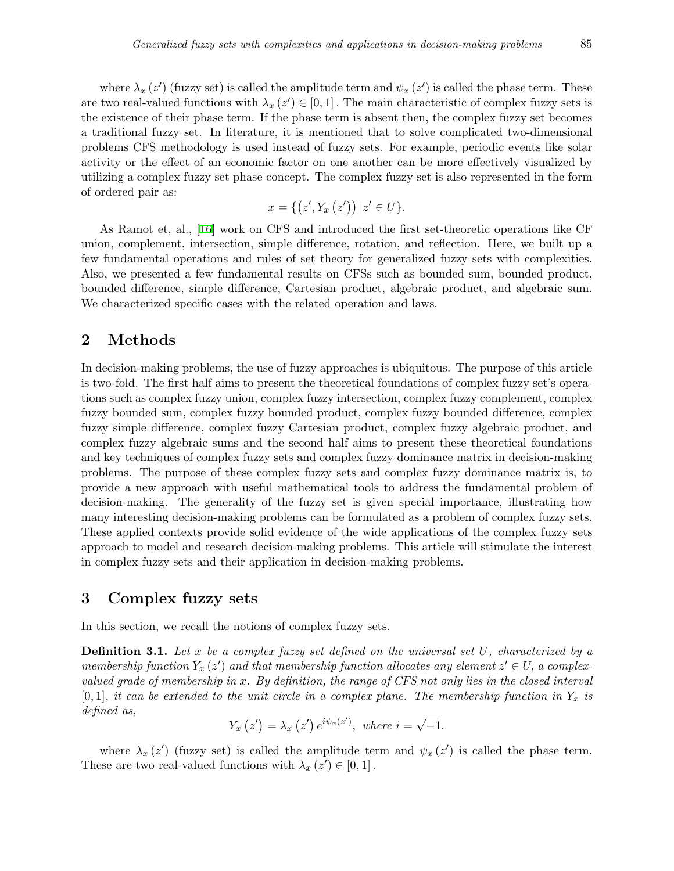where  $\lambda_x(z)$  (fuzzy set) is called the amplitude term and  $\psi_x(z)$  is called the phase term. These are two real-valued functions with  $\lambda_x(z') \in [0,1]$ . The main characteristic of complex fuzzy sets is the existence of their phase term. If the phase term is absent then, the complex fuzzy set becomes a traditional fuzzy set. In literature, it is mentioned that to solve complicated two-dimensional problems CFS methodology is used instead of fuzzy sets. For example, periodic events like solar activity or the effect of an economic factor on one another can be more effectively visualized by utilizing a complex fuzzy set phase concept. The complex fuzzy set is also represented in the form of ordered pair as:

$$
x = \{ (z', Y_x(z')) \, | z' \in U \}.
$$

As Ramot et, al., [[16\]](#page-24-11) work on CFS and introduced the first set-theoretic operations like CF union, complement, intersection, simple difference, rotation, and reflection. Here, we built up a few fundamental operations and rules of set theory for generalized fuzzy sets with complexities. Also, we presented a few fundamental results on CFSs such as bounded sum, bounded product, bounded difference, simple difference, Cartesian product, algebraic product, and algebraic sum. We characterized specific cases with the related operation and laws.

### **2 Methods**

In decision-making problems, the use of fuzzy approaches is ubiquitous. The purpose of this article is two-fold. The first half aims to present the theoretical foundations of complex fuzzy set's operations such as complex fuzzy union, complex fuzzy intersection, complex fuzzy complement, complex fuzzy bounded sum, complex fuzzy bounded product, complex fuzzy bounded difference, complex fuzzy simple difference, complex fuzzy Cartesian product, complex fuzzy algebraic product, and complex fuzzy algebraic sums and the second half aims to present these theoretical foundations and key techniques of complex fuzzy sets and complex fuzzy dominance matrix in decision-making problems. The purpose of these complex fuzzy sets and complex fuzzy dominance matrix is, to provide a new approach with useful mathematical tools to address the fundamental problem of decision-making. The generality of the fuzzy set is given special importance, illustrating how many interesting decision-making problems can be formulated as a problem of complex fuzzy sets. These applied contexts provide solid evidence of the wide applications of the complex fuzzy sets approach to model and research decision-making problems. This article will stimulate the interest in complex fuzzy sets and their application in decision-making problems.

## **3 Complex fuzzy sets**

In this section, we recall the notions of complex fuzzy sets.

**Definition 3.1.** *Let x be a complex fuzzy set defined on the universal set U, characterized by a membership function*  $Y_x(z')$  *and that membership function allocates any element*  $z' \in U$ *, a complexvalued grade of membership in x. By definition, the range of CFS not only lies in the closed interval*  $[0,1]$ *, it can be extended to the unit circle in a complex plane. The membership function in*  $Y_x$  *is defined as, √*

$$
Y_x(z') = \lambda_x(z') e^{i\psi_x(z')}, \text{ where } i = \sqrt{-1}.
$$

where  $\lambda_x(z')$  (fuzzy set) is called the amplitude term and  $\psi_x(z')$  is called the phase term. These are two real-valued functions with  $\lambda_x(z') \in [0, 1]$ .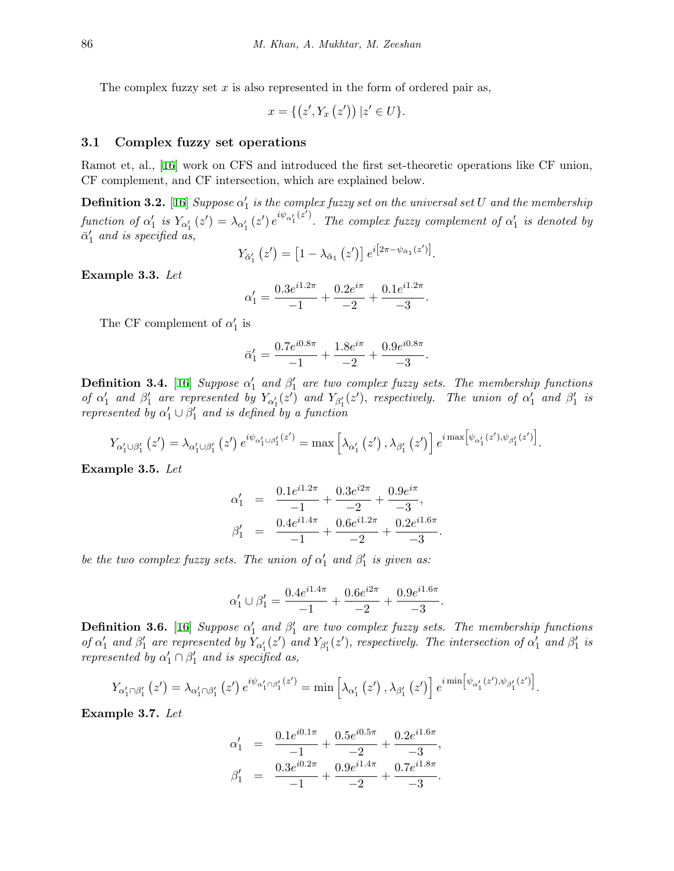The complex fuzzy set *x* is also represented in the form of ordered pair as,

$$
x = \{ (z', Y_x(z')) \, | z' \in U \}.
$$

#### **3.1 Complex fuzzy set operations**

Ramot et, al., [[16\]](#page-24-11) work on CFS and introduced the first set-theoretic operations like CF union, CF complement, and CF intersection, which are explained below.

**Definition 3.2.** [[16\]](#page-24-11) *Suppose*  $\alpha'_1$  *is the complex fuzzy set on the universal set U and the membership* function of  $\alpha'_1$  is  $Y_{\alpha'_1}(z') = \lambda_{\alpha'_1}(z')e^{i\psi_{\alpha'_1}(z')}$ . The complex fuzzy complement of  $\alpha'_1$  is denoted by  $\bar{\alpha}'_1$  and is specified as,

$$
Y_{\bar{\alpha}'_1}(z') = \left[1 - \lambda_{\bar{\alpha}_1}(z')\right] e^{i\left[2\pi - \psi_{\bar{\alpha}_1}(z')\right]}.
$$

**Example 3.3.** *Let*

$$
\alpha_1' = \frac{0.3e^{i1.2\pi}}{-1} + \frac{0.2e^{i\pi}}{-2} + \frac{0.1e^{i1.2\pi}}{-3}.
$$

The CF complement of  $\alpha'_1$  is

$$
\bar{\alpha}'_1 = \frac{0.7e^{i0.8\pi}}{-1} + \frac{1.8e^{i\pi}}{-2} + \frac{0.9e^{i0.8\pi}}{-3}.
$$

**Definition 3.4.** [[16\]](#page-24-11) *Suppose*  $\alpha'_1$  and  $\beta'_1$  are two complex fuzzy sets. The membership functions of  $\alpha'_1$  and  $\beta'_1$  are represented by  $Y_{\alpha'_1}(z')$  and  $Y_{\beta'_1}(z')$ , respectively. The union of  $\alpha'_1$  and  $\beta'_1$  is *represented by*  $\alpha'_1 \cup \beta'_1$  *and is defined by a function* 

$$
Y_{\alpha_1'\cup\beta_1'}(z')=\lambda_{\alpha_1'\cup\beta_1'}(z')\,e^{i\psi_{\alpha_1'\cup\beta_1'}(z')}=\max\left[\lambda_{\alpha_1'}(z')\,,\lambda_{\beta_1'}(z')\right]e^{i\max\left[\psi_{\alpha_1'}(z'),\psi_{\beta_1'}(z')\right]}.
$$

**Example 3.5.** *Let*

$$
\alpha'_1 = \frac{0.1e^{i1.2\pi}}{-1} + \frac{0.3e^{i2\pi}}{-2} + \frac{0.9e^{i\pi}}{-3},
$$
  

$$
\beta'_1 = \frac{0.4e^{i1.4\pi}}{-1} + \frac{0.6e^{i1.2\pi}}{-2} + \frac{0.2e^{i1.6\pi}}{-3}.
$$

*be the two complex fuzzy sets. The union of*  $\alpha'_1$  and  $\beta'_1$  *is given as:* 

$$
\alpha_1'\cup\beta_1'=\frac{0.4e^{i1.4\pi}}{-1}+\frac{0.6e^{i2\pi}}{-2}+\frac{0.9e^{i1.6\pi}}{-3}.
$$

**Definition 3.6.** [[16\]](#page-24-11) *Suppose*  $\alpha'_1$  and  $\beta'_1$  are two complex fuzzy sets. The membership functions of  $\alpha'_1$  and  $\beta'_1$  are represented by  $Y_{\alpha'_1}(z')$  and  $Y_{\beta'_1}(z')$ , respectively. The intersection of  $\alpha'_1$  and  $\beta'_1$  is *represented by*  $\alpha'_1 \cap \beta'_1$  *and is specified as,* 

$$
Y_{\alpha_1'\cap\beta_1'}(z')=\lambda_{\alpha_1'\cap\beta_1'}(z')e^{i\psi_{\alpha_1'\cap\beta_1'}(z')}=\min\left[\lambda_{\alpha_1'}(z')\,,\lambda_{\beta_1'}(z')\right]e^{i\min\left[\psi_{\alpha_1'}(z'),\psi_{\beta_1'}(z')\right]}.
$$

**Example 3.7.** *Let*

$$
\alpha'_1 = \frac{0.1e^{i0.1\pi}}{-1} + \frac{0.5e^{i0.5\pi}}{-2} + \frac{0.2e^{i1.6\pi}}{-3},
$$
  

$$
\beta'_1 = \frac{0.3e^{i0.2\pi}}{-1} + \frac{0.9e^{i1.4\pi}}{-2} + \frac{0.7e^{i1.8\pi}}{-3}.
$$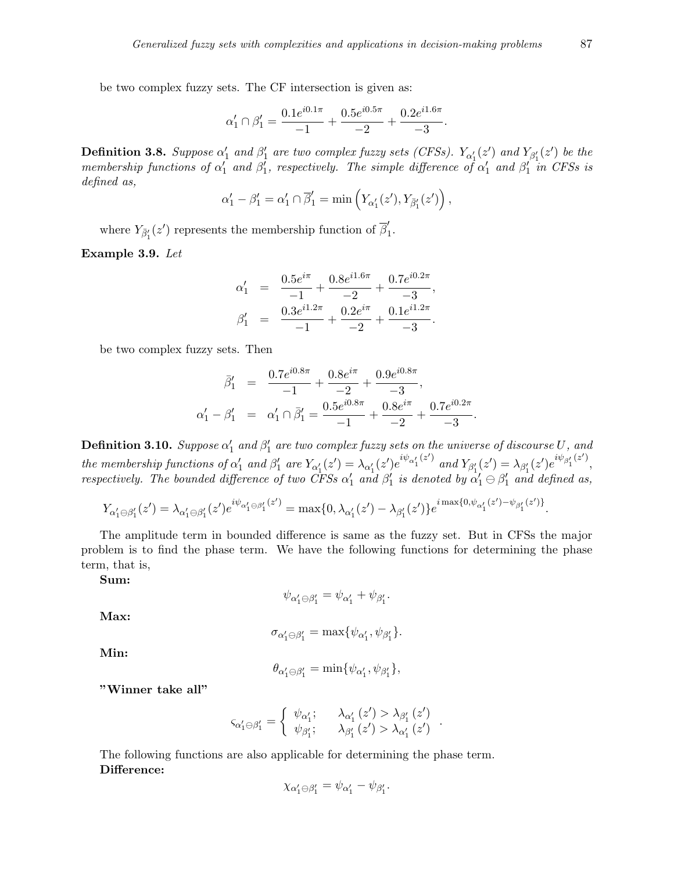be two complex fuzzy sets. The CF intersection is given as:

$$
\alpha'_1 \cap \beta'_1 = \frac{0.1e^{i0.1\pi}}{-1} + \frac{0.5e^{i0.5\pi}}{-2} + \frac{0.2e^{i1.6\pi}}{-3}.
$$

**Definition 3.8.** Suppose  $\alpha'_1$  and  $\beta'_1$  are two complex fuzzy sets (CFSs).  $Y_{\alpha'_1}(z')$  and  $Y_{\beta'_1}(z')$  be the *membership functions of*  $\alpha'_1$  *and*  $\beta'_1$ *, respectively. The simple difference of*  $\alpha'_1$  *and*  $\beta'_1$  *in CFSs is defined as,*

$$
\alpha'_1 - \beta'_1 = \alpha'_1 \cap \overline{\beta}'_1 = \min\left(Y_{\alpha'_1}(z'), Y_{\overline{\beta}'_1}(z')\right),
$$

where  $Y_{\bar{\beta}'_1}(z')$  represents the membership function of  $\bar{\beta}'_1$ 1 *.*

**Example 3.9.** *Let*

$$
\alpha'_1 = \frac{0.5e^{i\pi}}{-1} + \frac{0.8e^{i1.6\pi}}{-2} + \frac{0.7e^{i0.2\pi}}{-3},
$$
  

$$
\beta'_1 = \frac{0.3e^{i1.2\pi}}{-1} + \frac{0.2e^{i\pi}}{-2} + \frac{0.1e^{i1.2\pi}}{-3}.
$$

be two complex fuzzy sets. Then

$$
\bar{\beta}'_1 = \frac{0.7e^{i0.8\pi}}{-1} + \frac{0.8e^{i\pi}}{-2} + \frac{0.9e^{i0.8\pi}}{-3},
$$
  

$$
\alpha'_1 - \beta'_1 = \alpha'_1 \cap \bar{\beta}'_1 = \frac{0.5e^{i0.8\pi}}{-1} + \frac{0.8e^{i\pi}}{-2} + \frac{0.7e^{i0.2\pi}}{-3}.
$$

 $\bf{Definition 3.10.}$   $Suppose \alpha'_1$  and  $\beta'_1$  are two complex fuzzy sets on the universe of discourse  $U$ , and the membership functions of  $\alpha'_1$  and  $\beta'_1$  are  $Y_{\alpha'_1}(z') = \lambda_{\alpha'_1}(z')e^{i\psi_{\alpha'_1}(z')}$  and  $Y_{\beta'_1}(z') = \lambda_{\beta'_1}(z')e^{i\psi_{\beta'_1}(z')}$ , *respectively. The bounded difference of two CFSs*  $\alpha'_1$  and  $\beta'_1$  is denoted by  $\alpha'_1 \ominus \beta'_1$  and defined as,

$$
Y_{\alpha'_1 \ominus \beta'_1}(z') = \lambda_{\alpha'_1 \ominus \beta'_1}(z')e^{i\psi_{\alpha'_1 \ominus \beta'_1}(z')} = \max\{0, \lambda_{\alpha'_1}(z') - \lambda_{\beta'_1}(z')\}e^{i \max\{0, \psi_{\alpha'_1}(z') - \psi_{\beta'_1}(z')\}}.
$$

The amplitude term in bounded difference is same as the fuzzy set. But in CFSs the major problem is to find the phase term. We have the following functions for determining the phase term, that is,

**Sum:**

$$
\psi_{\alpha_1'\ominus\beta_1'}=\psi_{\alpha_1'}+\psi_{\beta_1'}.
$$

**Max:**

$$
\sigma_{\alpha_1'\ominus\beta_1'}=\max\{\psi_{\alpha_1'},\psi_{\beta_1'}\}.
$$

**Min:**

$$
\theta_{\alpha'_1 \ominus \beta'_1} = \min{\{\psi_{\alpha'_1}, \psi_{\beta'_1}\}},
$$

**"Winner take all"**

$$
\varsigma_{\alpha_{1}^{\prime}\ominus\beta_{1}^{\prime}}=\left\{\begin{array}{ll}\psi_{\alpha_{1}^{\prime}}; & \lambda_{\alpha_{1}^{\prime}}\left(z^{\prime}\right)>\lambda_{\beta_{1}^{\prime}}\left(z^{\prime}\right)\\\psi_{\beta_{1}^{\prime}}; & \lambda_{\beta_{1}^{\prime}}\left(z^{\prime}\right)>\lambda_{\alpha_{1}^{\prime}}\left(z^{\prime}\right)\end{array}\right.
$$

*.*

The following functions are also applicable for determining the phase term. **Difference:**

$$
\chi_{\alpha'_1 \ominus \beta'_1} = \psi_{\alpha'_1} - \psi_{\beta'_1}.
$$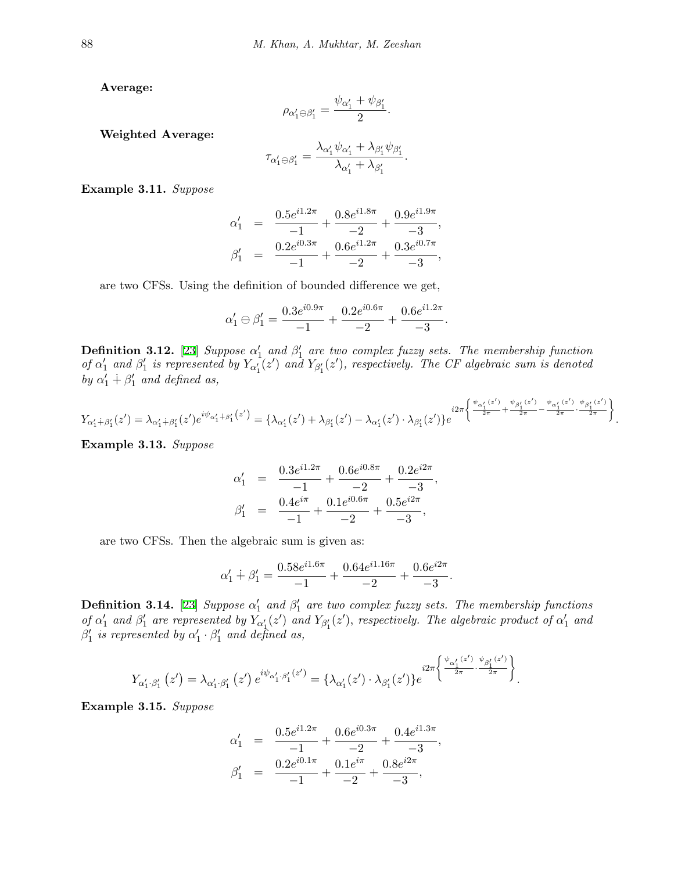**Average:**

$$
\rho_{\alpha_1'\ominus\beta_1'}=\frac{\psi_{\alpha_1'}+\psi_{\beta_1'}}{2}.
$$

**Weighted Average:**

$$
\tau_{\alpha_1'\ominus\beta_1'}=\frac{\lambda_{\alpha_1'}\psi_{\alpha_1'}+\lambda_{\beta_1'}\psi_{\beta_1'}}{\lambda_{\alpha_1'}+\lambda_{\beta_1'}}.
$$

**Example 3.11.** *Suppose*

$$
\alpha'_1 = \frac{0.5e^{i1.2\pi}}{-1} + \frac{0.8e^{i1.8\pi}}{-2} + \frac{0.9e^{i1.9\pi}}{-3},
$$
  

$$
\beta'_1 = \frac{0.2e^{i0.3\pi}}{-1} + \frac{0.6e^{i1.2\pi}}{-2} + \frac{0.3e^{i0.7\pi}}{-3},
$$

are two CFSs. Using the definition of bounded difference we get,

$$
\alpha'_1 \ominus \beta'_1 = \frac{0.3e^{i0.9\pi}}{-1} + \frac{0.2e^{i0.6\pi}}{-2} + \frac{0.6e^{i1.2\pi}}{-3}.
$$

**Definition 3.12.** [[23\]](#page-25-1) *Suppose*  $\alpha'_1$  and  $\beta'_1$  are two complex fuzzy sets. The membership function of  $\alpha'_1$  and  $\beta'_1$  is represented by  $Y_{\alpha'_1}(z')$  and  $Y_{\beta'_1}(z')$ , respectively. The CF algebraic sum is denoted *by*  $\alpha'_1$  +  $\beta'_1$  and defined as,

$$
Y_{\alpha_1'+\beta_1'}(z')=\lambda_{\alpha_1'+\beta_1'}(z')e^{i\psi_{\alpha_1'}+\beta_1'(z')}=\big\{\lambda_{\alpha_1'}(z')+\lambda_{\beta_1'}(z')-\lambda_{\alpha_1'}(z')\cdot \lambda_{\beta_1'}(z')\big\}e^{i2\pi\left\{\frac{\psi_{\alpha_1'}(z')}{2\pi}+\frac{\psi_{\beta_1'}(z')}{2\pi}-\frac{\psi_{\alpha_1'}(z')}{2\pi}\cdot \frac{\psi_{\beta_1'}(z')}{2\pi}\right\}}.
$$

**Example 3.13.** *Suppose*

$$
\alpha'_1 = \frac{0.3e^{i1.2\pi}}{-1} + \frac{0.6e^{i0.8\pi}}{-2} + \frac{0.2e^{i2\pi}}{-3},
$$
  

$$
\beta'_1 = \frac{0.4e^{i\pi}}{-1} + \frac{0.1e^{i0.6\pi}}{-2} + \frac{0.5e^{i2\pi}}{-3},
$$

are two CFSs. Then the algebraic sum is given as:

$$
\alpha_1'+\beta_1'=\frac{0.58e^{i1.6\pi}}{-1}+\frac{0.64e^{i1.16\pi}}{-2}+\frac{0.6e^{i2\pi}}{-3}.
$$

**Definition 3.14.** [\[23](#page-25-1)] *Suppose*  $\alpha'_1$  and  $\beta'_1$  are two complex fuzzy sets. The membership functions of  $\alpha'_1$  and  $\beta'_1$  are represented by  $Y_{\alpha'_1}(z')$  and  $Y_{\beta'_1}(z')$ , respectively. The algebraic product of  $\alpha'_1$  and  $\beta'_1$  *is represented by*  $\alpha'_1 \cdot \beta'_1$  *and defined as,* 

$$
Y_{\alpha_1'\cdot\beta_1'}(z')=\lambda_{\alpha_1'\cdot\beta_1'}(z')\,e^{i\psi_{\alpha_1'\cdot\beta_1'}(z')}=\{\lambda_{\alpha_1'}(z')\cdot\lambda_{\beta_1'}(z')\}e^{i2\pi\left\{\frac{\psi_{\alpha_1'}(z')}{2\pi}\cdot\frac{\psi_{\beta_1'}(z')}{2\pi}\right\}}.
$$

**Example 3.15.** *Suppose*

$$
\alpha'_1 = \frac{0.5e^{i1.2\pi}}{-1} + \frac{0.6e^{i0.3\pi}}{-2} + \frac{0.4e^{i1.3\pi}}{-3},
$$
  

$$
\beta'_1 = \frac{0.2e^{i0.1\pi}}{-1} + \frac{0.1e^{i\pi}}{-2} + \frac{0.8e^{i2\pi}}{-3},
$$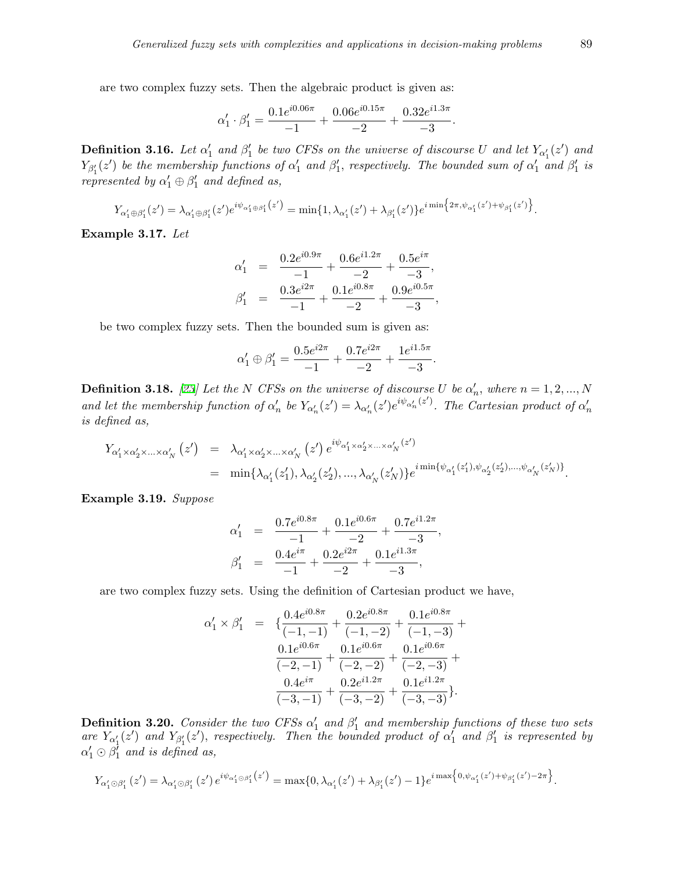are two complex fuzzy sets. Then the algebraic product is given as:

$$
\alpha_1' \cdot \beta_1' = \frac{0.1e^{i0.06\pi}}{-1} + \frac{0.06e^{i0.15\pi}}{-2} + \frac{0.32e^{i1.3\pi}}{-3}.
$$

**Definition 3.16.** Let  $\alpha'_1$  and  $\beta'_1$  be two CFSs on the universe of discourse U and let  $Y_{\alpha'_1}(z')$  and  $Y_{\beta_1'}(z')$  be the membership functions of  $\alpha_1'$  and  $\beta_1'$ , respectively. The bounded sum of  $\alpha_1'$  and  $\beta_1'$  is *represented by*  $\alpha'_1 \oplus \beta'_1$  *and defined as,* 

$$
Y_{\alpha_1'\oplus\beta_1'}(z') = \lambda_{\alpha_1'\oplus\beta_1'}(z')e^{i\psi_{\alpha_1'\oplus\beta_1'}(z')} = \min\{1, \lambda_{\alpha_1'}(z')+ \lambda_{\beta_1'}(z')\}e^{i\min\{2\pi, \psi_{\alpha_1'}(z')+ \psi_{\beta_1'}(z')\}}.
$$

**Example 3.17.** *Let*

$$
\alpha'_1 = \frac{0.2e^{i0.9\pi}}{-1} + \frac{0.6e^{i1.2\pi}}{-2} + \frac{0.5e^{i\pi}}{-3},
$$
  

$$
\beta'_1 = \frac{0.3e^{i2\pi}}{-1} + \frac{0.1e^{i0.8\pi}}{-2} + \frac{0.9e^{i0.5\pi}}{-3},
$$

be two complex fuzzy sets. Then the bounded sum is given as:

$$
\alpha'_1 \oplus \beta'_1 = \frac{0.5 e^{i2\pi}}{-1} + \frac{0.7 e^{i2\pi}}{-2} + \frac{1 e^{i1.5\pi}}{-3}
$$

*.*

**Definition 3.18.** [[23\]](#page-25-1) Let the N CFSs on the universe of discourse U be  $\alpha'_n$ , where  $n = 1, 2, ..., N$ and let the membership function of  $\alpha'_n$  be  $Y_{\alpha'_n}(z') = \lambda_{\alpha'_n}(z')e^{i\psi_{\alpha'_n}(z')}$ . The Cartesian product of  $\alpha'_n$ *is defined as,*

$$
Y_{\alpha'_1 \times \alpha'_2 \times \ldots \times \alpha'_N} (z') = \lambda_{\alpha'_1 \times \alpha'_2 \times \ldots \times \alpha'_N} (z') e^{i\psi_{\alpha'_1 \times \alpha'_2 \times \ldots \times \alpha'_N} (z')}
$$
  
=  $\min{\lambda_{\alpha'_1}(z'_1), \lambda_{\alpha'_2}(z'_2), \ldots, \lambda_{\alpha'_N}(z'_N)} e^{i\min{\{\psi_{\alpha'_1}(z'_1), \psi_{\alpha'_2}(z'_2), \ldots, \psi_{\alpha'_N}(z'_N)\}}.$ 

**Example 3.19.** *Suppose*

$$
\alpha_1' = \frac{0.7e^{i0.8\pi}}{-1} + \frac{0.1e^{i0.6\pi}}{-2} + \frac{0.7e^{i1.2\pi}}{-3},
$$
  

$$
\beta_1' = \frac{0.4e^{i\pi}}{-1} + \frac{0.2e^{i2\pi}}{-2} + \frac{0.1e^{i1.3\pi}}{-3},
$$

are two complex fuzzy sets. Using the definition of Cartesian product we have,

$$
\alpha'_1 \times \beta'_1 = \left\{ \frac{0.4e^{i0.8\pi}}{(-1,-1)} + \frac{0.2e^{i0.8\pi}}{(-1,-2)} + \frac{0.1e^{i0.8\pi}}{(-1,-3)} + \frac{0.1e^{i0.6\pi}}{(-2,-1)} + \frac{0.1e^{i0.6\pi}}{(-2,-2)} + \frac{0.1e^{i0.6\pi}}{(-2,-3)} + \frac{0.4e^{i\pi}}{(-3,-1)} + \frac{0.2e^{i1.2\pi}}{(-3,-2)} + \frac{0.1e^{i1.2\pi}}{(-3,-3)} \right\}.
$$

**Definition 3.20.** *Consider the two CFSs*  $\alpha'_1$  and  $\beta'_1$  and membership functions of these two sets are  $Y_{\alpha'_1}(z')$  and  $Y_{\beta'_1}(z')$ , respectively. Then the bounded product of  $\alpha'_1$  and  $\beta'_1$  is represented by  $\alpha'_1 \odot \beta'_1$  and is defined as,

$$
Y_{\alpha'_1 \odot \beta'_1}(z') = \lambda_{\alpha'_1 \odot \beta'_1}(z') e^{i\psi_{\alpha'_1 \odot \beta'_1}(z')} = \max\{0, \lambda_{\alpha'_1}(z') + \lambda_{\beta'_1}(z') - 1\} e^{i \max\left\{0, \psi_{\alpha'_1}(z') + \psi_{\beta'_1}(z') - 2\pi\right\}}.
$$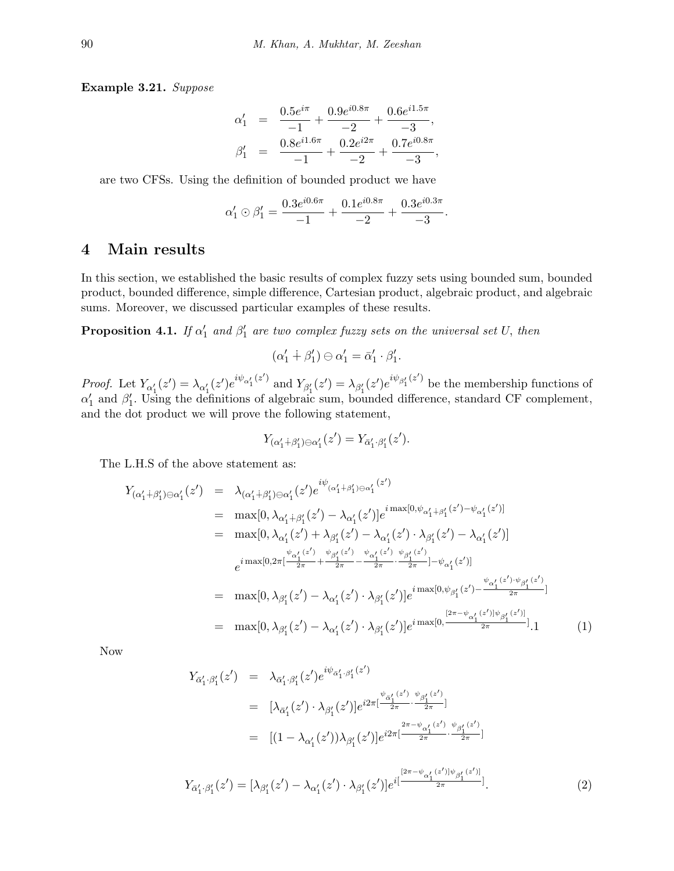**Example 3.21.** *Suppose*

$$
\begin{array}{rcl}\n\alpha'_1 &=& \frac{0.5 e^{i\pi}}{-1} + \frac{0.9 e^{i0.8\pi}}{-2} + \frac{0.6 e^{i1.5\pi}}{-3}, \\
\beta'_1 &=& \frac{0.8 e^{i1.6\pi}}{-1} + \frac{0.2 e^{i2\pi}}{-2} + \frac{0.7 e^{i0.8\pi}}{-3},\n\end{array}
$$

are two CFSs. Using the definition of bounded product we have

$$
\alpha'_1 \odot \beta'_1 = \frac{0.3e^{i0.6\pi}}{-1} + \frac{0.1e^{i0.8\pi}}{-2} + \frac{0.3e^{i0.3\pi}}{-3}.
$$

## **4 Main results**

In this section, we established the basic results of complex fuzzy sets using bounded sum, bounded product, bounded difference, simple difference, Cartesian product, algebraic product, and algebraic sums. Moreover, we discussed particular examples of these results.

**Proposition 4.1.** *If*  $\alpha'_1$  and  $\beta'_1$  are two complex fuzzy sets on the universal set U, then

$$
(\alpha'_1 \dotplus \beta'_1) \ominus \alpha'_1 = \bar{\alpha}'_1 \cdot \beta'_1.
$$

*Proof.* Let  $Y_{\alpha_1'}(z') = \lambda_{\alpha_1'}(z')e^{i\psi_{\alpha_1'}(z')}$  and  $Y_{\beta_1'}(z') = \lambda_{\beta_1'}(z')e^{i\psi_{\beta_1'}(z')}$  be the membership functions of  $\alpha'_{1}$  and  $\beta'_{1}$ . Using the definitions of algebraic sum, bounded difference, standard CF complement, and the dot product we will prove the following statement,

$$
Y_{(\alpha_1'+\beta_1')\ominus\alpha_1'}(z')=Y_{\bar{\alpha}_1'\cdot\beta_1'}(z').
$$

The L.H.S of the above statement as:

$$
Y_{(\alpha'_{1}+\beta'_{1})\ominus\alpha'_{1}}(z') = \lambda_{(\alpha'_{1}+\beta'_{1})\ominus\alpha'_{1}}(z')e^{i\psi_{(\alpha'_{1}+\beta'_{1})\ominus\alpha'_{1}}(z')}
$$
  
\n
$$
= \max[0, \lambda_{\alpha'_{1}+\beta'_{1}}(z') - \lambda_{\alpha'_{1}}(z')]e^{i\max[0, \psi_{\alpha'_{1}+\beta'_{1}}(z') - \psi_{\alpha'_{1}}(z')]}
$$
  
\n
$$
= \max[0, \lambda_{\alpha'_{1}}(z') + \lambda_{\beta'_{1}}(z') - \lambda_{\alpha'_{1}}(z') \cdot \lambda_{\beta'_{1}}(z') - \lambda_{\alpha'_{1}}(z')]
$$
  
\n
$$
e^{i\max[0, 2\pi[\frac{\psi_{\alpha'_{1}}(z')}{2\pi} + \frac{\psi_{\beta'_{1}}(z')}{2\pi} - \frac{\psi_{\alpha'_{1}}(z')}{2\pi} \cdot \frac{\psi_{\beta'_{1}}(z')}{2\pi}] - \psi_{\alpha'_{1}}(z')]}
$$
  
\n
$$
= \max[0, \lambda_{\beta'_{1}}(z') - \lambda_{\alpha'_{1}}(z') \cdot \lambda_{\beta'_{1}}(z')]e^{i\max[0, \psi_{\beta'_{1}}(z') - \frac{\psi_{\alpha'_{1}}(z') \cdot \psi_{\beta'_{1}}(z')}{2\pi}]}
$$
  
\n
$$
= \max[0, \lambda_{\beta'_{1}}(z') - \lambda_{\alpha'_{1}}(z') \cdot \lambda_{\beta'_{1}}(z')]e^{i\max[0, \frac{[2\pi - \psi_{\alpha'_{1}}(z')] \psi_{\beta'_{1}}(z')]}{2\pi}]}
$$

Now

$$
Y_{\bar{\alpha}'_1 \cdot \beta'_1}(z') = \lambda_{\bar{\alpha}'_1 \cdot \beta'_1}(z') e^{i\psi_{\bar{\alpha}'_1 \cdot \beta'_1}(z')}
$$
  
\n
$$
= [\lambda_{\bar{\alpha}'_1}(z') \cdot \lambda_{\beta'_1}(z')] e^{i2\pi \left[\frac{\psi_{\bar{\alpha}'_1}(z')}{2\pi} \cdot \frac{\psi_{\beta'_1}(z')}{2\pi}\right]}
$$
  
\n
$$
= [(1 - \lambda_{\alpha'_1}(z'))\lambda_{\beta'_1}(z')] e^{i2\pi \left[\frac{2\pi - \psi_{\alpha'_1}(z')}{2\pi} \cdot \frac{\psi_{\beta'_1}(z')}{2\pi}\right]}
$$
  
\n
$$
Y_{\bar{\alpha}'_1 \cdot \beta'_1}(z') = [\lambda_{\beta'_1}(z') - \lambda_{\alpha'_1}(z') \cdot \lambda_{\beta'_1}(z')] e^{i\left[\frac{[2\pi - \psi_{\alpha'_1}(z')] \psi_{\beta'_1}(z')]}{2\pi}\right]}.
$$
  
\n(2)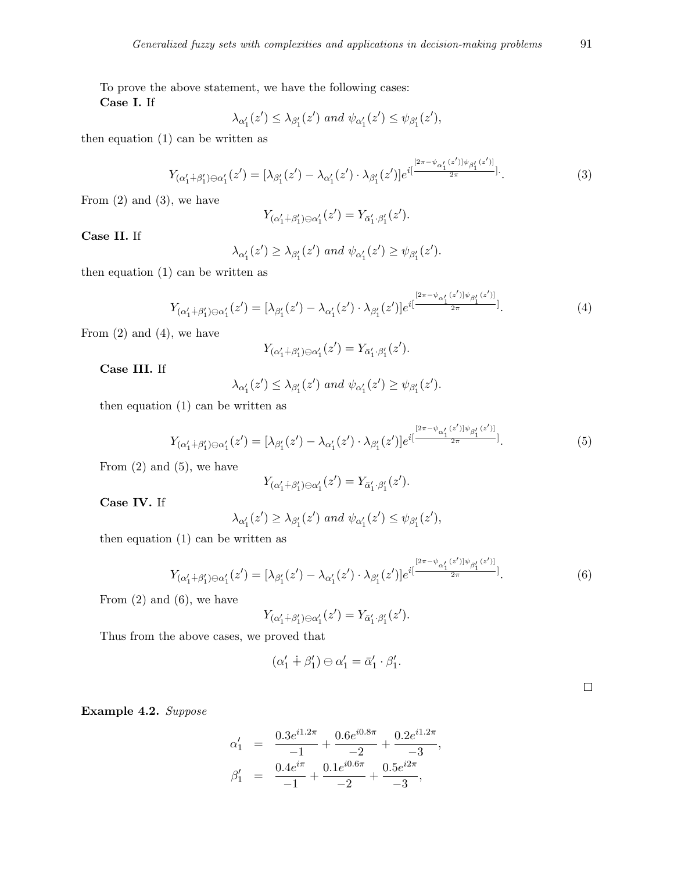To prove the above statement, we have the following cases: **Case I.** If

$$
\lambda_{\alpha_1'}(z') \leq \lambda_{\beta_1'}(z') \text{ and } \psi_{\alpha_1'}(z') \leq \psi_{\beta_1'}(z'),
$$

then equation (1) can be written as

$$
Y_{(\alpha'_1 + \beta'_1)\ominus\alpha'_1}(z') = [\lambda_{\beta'_1}(z') - \lambda_{\alpha'_1}(z') \cdot \lambda_{\beta'_1}(z')] e^{i\left[\frac{[2\pi - \psi_{\alpha'_1}(z')] \psi_{\beta'_1}(z')]}{2\pi}\right]}.
$$
\n(3)

From (2) and (3)*,* we have

$$
Y_{(\alpha_1'+\beta_1')\ominus\alpha_1'}(z')=Y_{\bar{\alpha}_1'\cdot\beta_1'}(z').
$$

**Case II.** If

$$
\lambda_{\alpha_1'}(z') \geq \lambda_{\beta_1'}(z') \text{ and } \psi_{\alpha_1'}(z') \geq \psi_{\beta_1'}(z').
$$

then equation (1) can be written as

$$
Y_{(\alpha'_1 + \beta'_1) \ominus \alpha'_1}(z') = [\lambda_{\beta'_1}(z') - \lambda_{\alpha'_1}(z') \cdot \lambda_{\beta'_1}(z')] e^{i\left[\frac{[2\pi - \psi_{\alpha'_1}(z')] \psi_{\beta'_1}(z')]}{2\pi}\right]}.
$$
\n(4)

From (2) and (4)*,* we have

$$
Y_{(\alpha_1'+\beta_1')\ominus\alpha_1'}(z')=Y_{\bar{\alpha}_1'\cdot\beta_1'}(z').
$$

**Case III.** If

$$
\lambda_{\alpha_1'}(z') \leq \lambda_{\beta_1'}(z') \text{ and } \psi_{\alpha_1'}(z') \geq \psi_{\beta_1'}(z').
$$

then equation (1) can be written as

$$
Y_{(\alpha'_1+\beta'_1)\ominus\alpha'_1}(z') = [\lambda_{\beta'_1}(z') - \lambda_{\alpha'_1}(z') \cdot \lambda_{\beta'_1}(z')] e^{i\left[\frac{[2\pi - \psi_{\alpha'_1}(z')] \psi_{\beta'_1}(z')]}{2\pi}\right]}.
$$
(5)

From (2) and (5)*,* we have

$$
Y_{(\alpha_1'+\beta_1')\ominus\alpha_1'}(z')=Y_{\bar\alpha_1'\cdot\beta_1'}(z').
$$

**Case IV.** If

$$
\lambda_{\alpha'_1}(z') \geq \lambda_{\beta'_1}(z') \text{ and } \psi_{\alpha'_1}(z') \leq \psi_{\beta'_1}(z'),
$$

then equation (1) can be written as

$$
Y_{(\alpha'_1+\beta'_1)\ominus\alpha'_1}(z') = [\lambda_{\beta'_1}(z') - \lambda_{\alpha'_1}(z') \cdot \lambda_{\beta'_1}(z')] e^{i\left[\frac{[2\pi - \psi_{\alpha'_1}(z')] \psi_{\beta'_1}(z')]}{2\pi}\right]}.
$$
(6)

From (2) and (6)*,* we have

$$
Y_{(\alpha_1'+\beta_1')\ominus\alpha_1'}(z')=Y_{\bar{\alpha}_1',\beta_1'}(z').
$$

Thus from the above cases, we proved that

$$
(\alpha'_1 \dotplus \beta'_1) \ominus \alpha'_1 = \bar{\alpha}'_1 \cdot \beta'_1.
$$

 $\Box$ 

**Example 4.2.** *Suppose*

$$
\alpha'_1 = \frac{0.3e^{i1.2\pi}}{-1} + \frac{0.6e^{i0.8\pi}}{-2} + \frac{0.2e^{i1.2\pi}}{-3},
$$
  

$$
\beta'_1 = \frac{0.4e^{i\pi}}{-1} + \frac{0.1e^{i0.6\pi}}{-2} + \frac{0.5e^{i2\pi}}{-3},
$$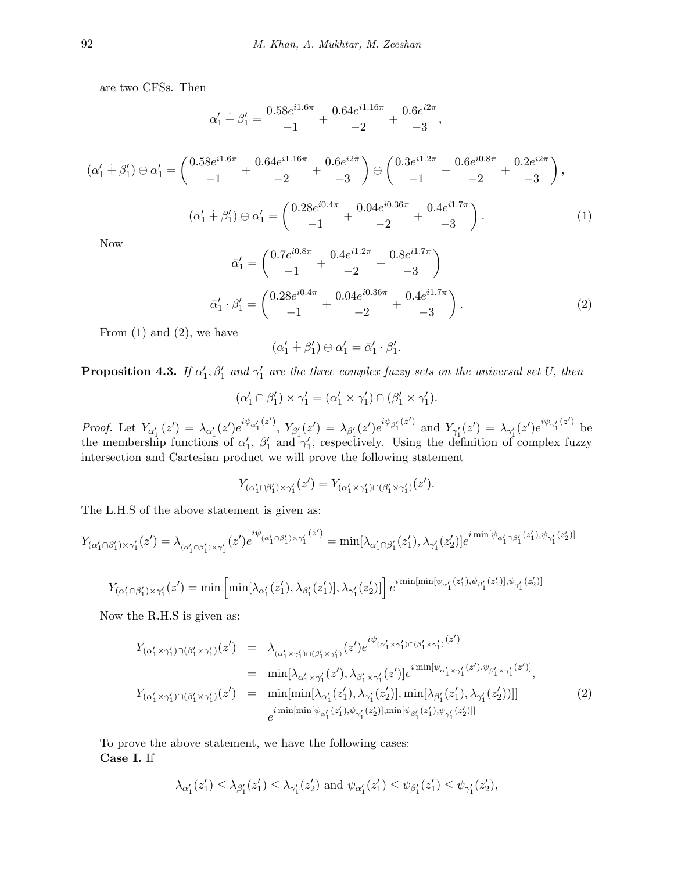are two CFSs. Then

$$
\alpha_1' + \beta_1' = \frac{0.58e^{i1.6\pi}}{-1} + \frac{0.64e^{i1.16\pi}}{-2} + \frac{0.6e^{i2\pi}}{-3},
$$

$$
(\alpha'_1 + \beta'_1) \ominus \alpha'_1 = \left(\frac{0.58e^{i1.6\pi}}{-1} + \frac{0.64e^{i1.16\pi}}{-2} + \frac{0.6e^{i2\pi}}{-3}\right) \ominus \left(\frac{0.3e^{i1.2\pi}}{-1} + \frac{0.6e^{i0.8\pi}}{-2} + \frac{0.2e^{i2\pi}}{-3}\right),
$$

$$
(\alpha'_1 + \beta'_1) \ominus \alpha'_1 = \left(\frac{0.28e^{i0.4\pi}}{-1} + \frac{0.04e^{i0.36\pi}}{-2} + \frac{0.4e^{i1.7\pi}}{-3}\right).
$$
(1)

Now

$$
\bar{\alpha}'_1 = \left(\frac{0.7e^{i0.8\pi}}{-1} + \frac{0.4e^{i1.2\pi}}{-2} + \frac{0.8e^{i1.7\pi}}{-3}\right)
$$

$$
\bar{\alpha}'_1 \cdot \beta'_1 = \left(\frac{0.28e^{i0.4\pi}}{-1} + \frac{0.04e^{i0.36\pi}}{-2} + \frac{0.4e^{i1.7\pi}}{-3}\right).
$$
(2)

From  $(1)$  and  $(2)$ , we have

$$
(\alpha'_1 \dotplus \beta'_1) \ominus \alpha'_1 = \bar{\alpha}'_1 \cdot \beta'_1.
$$

**Proposition 4.3.** *If*  $\alpha'_1$ ,  $\beta'_1$  and  $\gamma'_1$  are the three complex fuzzy sets on the universal set U, then

$$
(\alpha'_1 \cap \beta'_1) \times \gamma'_1 = (\alpha'_1 \times \gamma'_1) \cap (\beta'_1 \times \gamma'_1).
$$

*Proof.* Let  $Y_{\alpha'_1}(z') = \lambda_{\alpha'_1}(z')e^{i\psi_{\alpha'_1}(z')}$ ,  $Y_{\beta'_1}(z') = \lambda_{\beta'_1}(z')e^{i\psi_{\beta'_1}(z')}$  and  $Y_{\gamma'_1}(z') = \lambda_{\gamma'_1}(z')e^{i\psi_{\gamma'_1}(z')}$  be the membership functions of  $\alpha'_1$ ,  $\beta'_1$  and  $\gamma'_1$ , respectively. Using the definition of complex fuzzy intersection and Cartesian product we will prove the following statement

$$
Y_{(\alpha_1'\cap\beta_1')\times\gamma_1'}(z')=Y_{(\alpha_1'\times\gamma_1')\cap(\beta_1'\times\gamma_1')}(z').
$$

The L.H.S of the above statement is given as:

$$
Y_{(\alpha'_1 \cap \beta'_1) \times \gamma'_1}(z') = \lambda_{(\alpha'_1 \cap \beta'_1) \times \gamma'_1}(z')e^{i\psi_{(\alpha'_1 \cap \beta'_1) \times \gamma'_1}(z')} = \min[\lambda_{\alpha'_1 \cap \beta'_1}(z'_1), \lambda_{\gamma'_1}(z'_2)]e^{i\min[\psi_{\alpha'_1 \cap \beta'_1}(z'_1), \psi_{\gamma'_1}(z'_2)]}
$$

$$
Y_{(\alpha_1'\cap\beta_1')\times\gamma_1'}(z')=\min\left[\min[\lambda_{\alpha_1'}(z_1'),\lambda_{\beta_1'}(z_1')],\lambda_{\gamma_1'}(z_2')]\right]e^{i\min[\min[\psi_{\alpha_1'}(z_1'),\psi_{\beta_1'}(z_1')],\psi_{\gamma_1'}(z_2')]}
$$

Now the R.H.S is given as:

$$
Y_{(\alpha'_1 \times \gamma'_1) \cap (\beta'_1 \times \gamma'_1)}(z') = \lambda_{(\alpha'_1 \times \gamma'_1) \cap (\beta'_1 \times \gamma'_1)}(z') e^{i\psi_{(\alpha'_1 \times \gamma'_1) \cap (\beta'_1 \times \gamma'_1)}(z')}
$$
  
\n
$$
= \min[\lambda_{\alpha'_1 \times \gamma'_1}(z'), \lambda_{\beta'_1 \times \gamma'_1}(z')] e^{i \min[\psi_{\alpha'_1 \times \gamma'_1}(z'), \psi_{\beta'_1 \times \gamma'_1}(z')]} ,
$$
  
\n
$$
Y_{(\alpha'_1 \times \gamma'_1) \cap (\beta'_1 \times \gamma'_1)}(z') = \min[\min[\lambda_{\alpha'_1}(z'_1), \lambda_{\gamma'_1}(z'_2)], \min[\lambda_{\beta'_1}(z'_1), \lambda_{\gamma'_1}(z'_2))]]
$$
  
\n
$$
e^{i \min[\min[\psi_{\alpha'_1}(z'_1), \psi_{\gamma'_1}(z'_2)], \min[\psi_{\beta'_1}(z'_1), \psi_{\gamma'_1}(z'_2)]]}
$$
\n(2)

To prove the above statement, we have the following cases: **Case I.** If

$$
\lambda_{\alpha'_1}(z'_1) \leq \lambda_{\beta'_1}(z'_1) \leq \lambda_{\gamma'_1}(z'_2)
$$
 and  $\psi_{\alpha'_1}(z'_1) \leq \psi_{\beta'_1}(z'_1) \leq \psi_{\gamma'_1}(z'_2)$ ,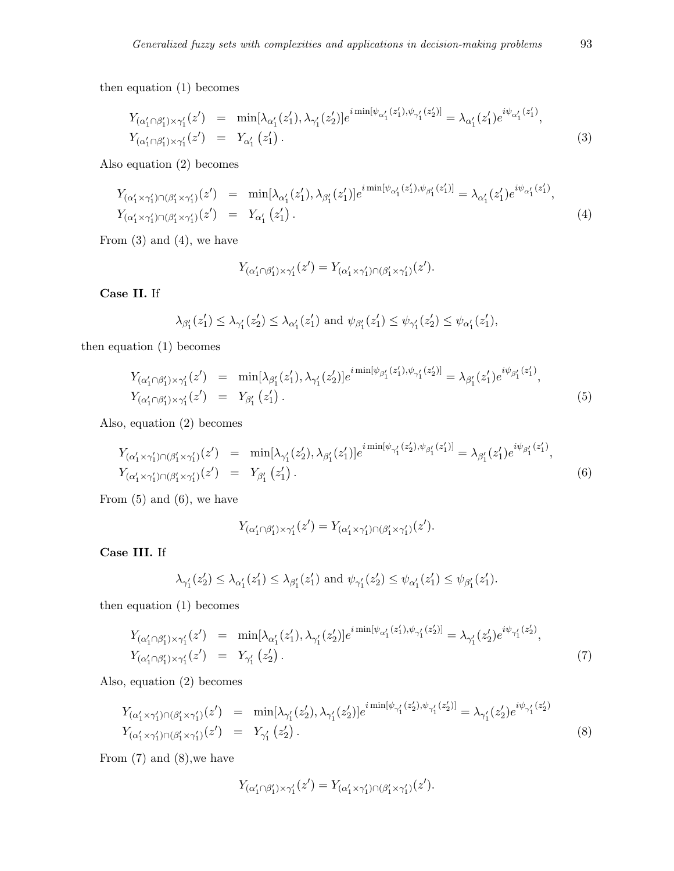then equation (1) becomes

$$
Y_{(\alpha'_1 \cap \beta'_1) \times \gamma'_1}(z') = \min[\lambda_{\alpha'_1}(z'_1), \lambda_{\gamma'_1}(z'_2)] e^{i \min[\psi_{\alpha'_1}(z'_1), \psi_{\gamma'_1}(z'_2)]} = \lambda_{\alpha'_1}(z'_1) e^{i \psi_{\alpha'_1}(z'_1)},
$$
  
\n
$$
Y_{(\alpha'_1 \cap \beta'_1) \times \gamma'_1}(z') = Y_{\alpha'_1}(z'_1).
$$
\n(3)

Also equation (2) becomes

$$
Y_{(\alpha'_1 \times \gamma'_1) \cap (\beta'_1 \times \gamma'_1)}(z') = \min[\lambda_{\alpha'_1}(z'_1), \lambda_{\beta'_1}(z'_1)]e^{i\min[\psi_{\alpha'_1}(z'_1), \psi_{\beta'_1}(z'_1)]} = \lambda_{\alpha'_1}(z'_1)e^{i\psi_{\alpha'_1}(z'_1)},
$$
  
\n
$$
Y_{(\alpha'_1 \times \gamma'_1) \cap (\beta'_1 \times \gamma'_1)}(z') = Y_{\alpha'_1}(z'_1).
$$
\n(4)

From  $(3)$  and  $(4)$ , we have

$$
Y_{(\alpha_1'\cap\beta_1')\times\gamma_1'}(z')=Y_{(\alpha_1'\times\gamma_1')\cap(\beta_1'\times\gamma_1')}(z').
$$

**Case II.** If

$$
\lambda_{\beta'_1}(z'_1) \leq \lambda_{\gamma'_1}(z'_2) \leq \lambda_{\alpha'_1}(z'_1)
$$
 and  $\psi_{\beta'_1}(z'_1) \leq \psi_{\gamma'_1}(z'_2) \leq \psi_{\alpha'_1}(z'_1)$ ,

then equation (1) becomes

$$
Y_{(\alpha'_1 \cap \beta'_1) \times \gamma'_1}(z') = \min[\lambda_{\beta'_1}(z'_1), \lambda_{\gamma'_1}(z'_2)]e^{i\min[\psi_{\beta'_1}(z'_1), \psi_{\gamma'_1}(z'_2)]} = \lambda_{\beta'_1}(z'_1)e^{i\psi_{\beta'_1}(z'_1)},
$$
  
\n
$$
Y_{(\alpha'_1 \cap \beta'_1) \times \gamma'_1}(z') = Y_{\beta'_1}(z'_1).
$$
\n(5)

Also, equation (2) becomes

$$
Y_{(\alpha'_1 \times \gamma'_1) \cap (\beta'_1 \times \gamma'_1)}(z') = \min[\lambda_{\gamma'_1}(z'_2), \lambda_{\beta'_1}(z'_1)] e^{i \min[\psi_{\gamma'_1}(z'_2), \psi_{\beta'_1}(z'_1)]} = \lambda_{\beta'_1}(z'_1) e^{i \psi_{\beta'_1}(z'_1)},
$$
  
\n
$$
Y_{(\alpha'_1 \times \gamma'_1) \cap (\beta'_1 \times \gamma'_1)}(z') = Y_{\beta'_1}(z'_1).
$$
\n(6)

From  $(5)$  and  $(6)$ , we have

$$
Y_{(\alpha'_1 \cap \beta'_1) \times \gamma'_1}(z') = Y_{(\alpha'_1 \times \gamma'_1) \cap (\beta'_1 \times \gamma'_1)}(z').
$$

**Case III.** If

$$
\lambda_{\gamma'_1}(z'_2) \leq \lambda_{\alpha'_1}(z'_1) \leq \lambda_{\beta'_1}(z'_1)
$$
 and  $\psi_{\gamma'_1}(z'_2) \leq \psi_{\alpha'_1}(z'_1) \leq \psi_{\beta'_1}(z'_1)$ .

then equation (1) becomes

$$
Y_{(\alpha'_1 \cap \beta'_1) \times \gamma'_1}(z') = \min[\lambda_{\alpha'_1}(z'_1), \lambda_{\gamma'_1}(z'_2)] e^{i \min[\psi_{\alpha'_1}(z'_1), \psi_{\gamma'_1}(z'_2)]} = \lambda_{\gamma'_1}(z'_2) e^{i \psi_{\gamma'_1}(z'_2)},
$$
  
\n
$$
Y_{(\alpha'_1 \cap \beta'_1) \times \gamma'_1}(z') = Y_{\gamma'_1}(z'_2).
$$
\n(7)

Also, equation (2) becomes

$$
Y_{(\alpha'_1 \times \gamma'_1) \cap (\beta'_1 \times \gamma'_1)}(z') = \min[\lambda_{\gamma'_1}(z'_2), \lambda_{\gamma'_1}(z'_2)] e^{i \min[\psi_{\gamma'_1}(z'_2), \psi_{\gamma'_1}(z'_2)]} = \lambda_{\gamma'_1}(z'_2) e^{i \psi_{\gamma'_1}(z'_2)}
$$
  
\n
$$
Y_{(\alpha'_1 \times \gamma'_1) \cap (\beta'_1 \times \gamma'_1)}(z') = Y_{\gamma'_1}(z'_2).
$$
\n(8)

From (7) and (8)*,*we have

$$
Y_{(\alpha'_1 \cap \beta'_1) \times \gamma'_1}(z') = Y_{(\alpha'_1 \times \gamma'_1) \cap (\beta'_1 \times \gamma'_1)}(z').
$$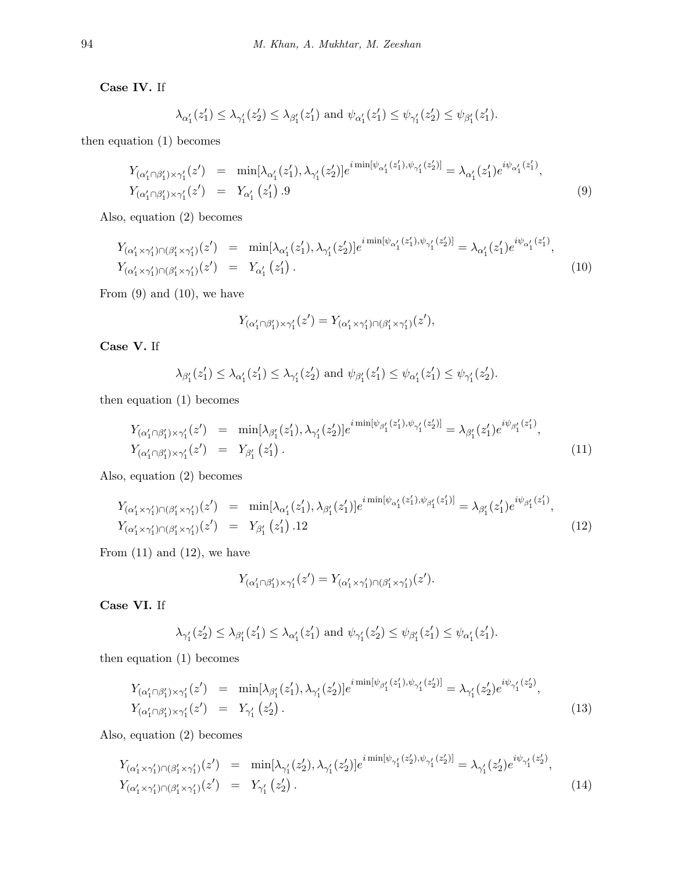**Case IV.** If

$$
\lambda_{\alpha'_1}(z'_1) \leq \lambda_{\gamma'_1}(z'_2) \leq \lambda_{\beta'_1}(z'_1)
$$
 and  $\psi_{\alpha'_1}(z'_1) \leq \psi_{\gamma'_1}(z'_2) \leq \psi_{\beta'_1}(z'_1)$ .

then equation (1) becomes

$$
Y_{(\alpha'_1 \cap \beta'_1) \times \gamma'_1}(z') = \min[\lambda_{\alpha'_1}(z'_1), \lambda_{\gamma'_1}(z'_2)]e^{i\min[\psi_{\alpha'_1}(z'_1), \psi_{\gamma'_1}(z'_2)]} = \lambda_{\alpha'_1}(z'_1)e^{i\psi_{\alpha'_1}(z'_1)},
$$
  
\n
$$
Y_{(\alpha'_1 \cap \beta'_1) \times \gamma'_1}(z') = Y_{\alpha'_1}(z'_1).9
$$
\n(9)

Also, equation (2) becomes

$$
Y_{(\alpha'_1 \times \gamma'_1) \cap (\beta'_1 \times \gamma'_1)}(z') = \min[\lambda_{\alpha'_1}(z'_1), \lambda_{\gamma'_1}(z'_2)]e^{i\min[\psi_{\alpha'_1}(z'_1), \psi_{\gamma'_1}(z'_2)]} = \lambda_{\alpha'_1}(z'_1)e^{i\psi_{\alpha'_1}(z'_1)},
$$
  
\n
$$
Y_{(\alpha'_1 \times \gamma'_1) \cap (\beta'_1 \times \gamma'_1)}(z') = Y_{\alpha'_1}(z'_1).
$$
\n(10)

From (9) and (10)*,* we have

$$
Y_{(\alpha_1'\cap\beta_1')\times\gamma_1'}(z')=Y_{(\alpha_1'\times\gamma_1')\cap(\beta_1'\times\gamma_1')}(z'),
$$

**Case V.** If

$$
\lambda_{\beta'_1}(z'_1) \leq \lambda_{\alpha'_1}(z'_1) \leq \lambda_{\gamma'_1}(z'_2)
$$
 and  $\psi_{\beta'_1}(z'_1) \leq \psi_{\alpha'_1}(z'_1) \leq \psi_{\gamma'_1}(z'_2)$ .

then equation (1) becomes

$$
Y_{(\alpha'_1 \cap \beta'_1) \times \gamma'_1}(z') = \min[\lambda_{\beta'_1}(z'_1), \lambda_{\gamma'_1}(z'_2)]e^{i\min[\psi_{\beta'_1}(z'_1), \psi_{\gamma'_1}(z'_2)]} = \lambda_{\beta'_1}(z'_1)e^{i\psi_{\beta'_1}(z'_1)},
$$
  
\n
$$
Y_{(\alpha'_1 \cap \beta'_1) \times \gamma'_1}(z') = Y_{\beta'_1}(z'_1).
$$
\n(11)

Also, equation (2) becomes

$$
Y_{(\alpha'_1 \times \gamma'_1) \cap (\beta'_1 \times \gamma'_1)}(z') = \min[\lambda_{\alpha'_1}(z'_1), \lambda_{\beta'_1}(z'_1)]e^{i \min[\psi_{\alpha'_1}(z'_1), \psi_{\beta'_1}(z'_1)]} = \lambda_{\beta'_1}(z'_1)e^{i\psi_{\beta'_1}(z'_1)},
$$
  
\n
$$
Y_{(\alpha'_1 \times \gamma'_1) \cap (\beta'_1 \times \gamma'_1)}(z') = Y_{\beta'_1}(z'_1).12
$$
\n(12)

From (11) and (12)*,* we have

$$
Y_{(\alpha'_1 \cap \beta'_1) \times \gamma'_1}(z') = Y_{(\alpha'_1 \times \gamma'_1) \cap (\beta'_1 \times \gamma'_1)}(z').
$$

**Case VI.** If

$$
\lambda_{\gamma'_1}(z'_2) \leq \lambda_{\beta'_1}(z'_1) \leq \lambda_{\alpha'_1}(z'_1)
$$
 and  $\psi_{\gamma'_1}(z'_2) \leq \psi_{\beta'_1}(z'_1) \leq \psi_{\alpha'_1}(z'_1)$ .

then equation (1) becomes

$$
Y_{(\alpha'_1 \cap \beta'_1) \times \gamma'_1}(z') = \min[\lambda_{\beta'_1}(z'_1), \lambda_{\gamma'_1}(z'_2)] e^{i \min[\psi_{\beta'_1}(z'_1), \psi_{\gamma'_1}(z'_2)]} = \lambda_{\gamma'_1}(z'_2) e^{i \psi_{\gamma'_1}(z'_2)},
$$
  
\n
$$
Y_{(\alpha'_1 \cap \beta'_1) \times \gamma'_1}(z') = Y_{\gamma'_1}(z'_2).
$$
\n(13)

Also, equation (2) becomes

$$
Y_{(\alpha'_1 \times \gamma'_1) \cap (\beta'_1 \times \gamma'_1)}(z') = \min[\lambda_{\gamma'_1}(z'_2), \lambda_{\gamma'_1}(z'_2)] e^{i \min[\psi_{\gamma'_1}(z'_2), \psi_{\gamma'_1}(z'_2)]} = \lambda_{\gamma'_1}(z'_2) e^{i \psi_{\gamma'_1}(z'_2)},
$$
  
\n
$$
Y_{(\alpha'_1 \times \gamma'_1) \cap (\beta'_1 \times \gamma'_1)}(z') = Y_{\gamma'_1}(z'_2).
$$
\n(14)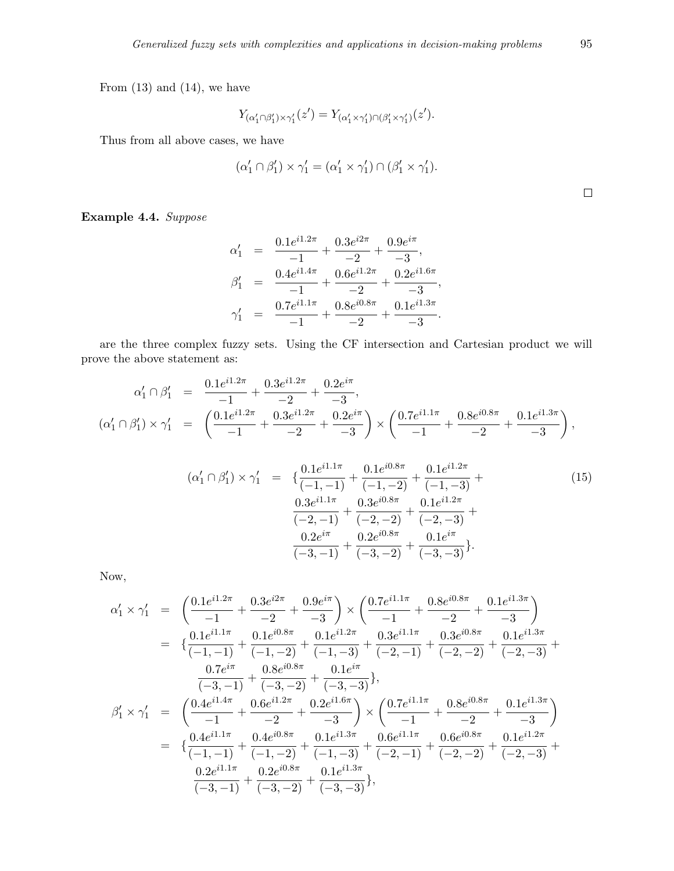From (13) and (14)*,* we have

$$
Y_{(\alpha_1'\cap\beta_1')\times\gamma_1'}(z')=Y_{(\alpha_1'\times\gamma_1')\cap(\beta_1'\times\gamma_1')}(z').
$$

Thus from all above cases, we have

$$
(\alpha'_1 \cap \beta'_1) \times \gamma'_1 = (\alpha'_1 \times \gamma'_1) \cap (\beta'_1 \times \gamma'_1).
$$

**Example 4.4.** *Suppose*

$$
\alpha'_1 = \frac{0.1e^{i1.2\pi}}{-1} + \frac{0.3e^{i2\pi}}{-2} + \frac{0.9e^{i\pi}}{-3},
$$
  
\n
$$
\beta'_1 = \frac{0.4e^{i1.4\pi}}{-1} + \frac{0.6e^{i1.2\pi}}{-2} + \frac{0.2e^{i1.6\pi}}{-3},
$$
  
\n
$$
\gamma'_1 = \frac{0.7e^{i1.1\pi}}{-1} + \frac{0.8e^{i0.8\pi}}{-2} + \frac{0.1e^{i1.3\pi}}{-3}.
$$

are the three complex fuzzy sets. Using the CF intersection and Cartesian product we will prove the above statement as:

$$
\alpha'_1 \cap \beta'_1 = \frac{0.1e^{i1.2\pi}}{-1} + \frac{0.3e^{i1.2\pi}}{-2} + \frac{0.2e^{i\pi}}{-3},
$$
\n
$$
(\alpha'_1 \cap \beta'_1) \times \gamma'_1 = \left(\frac{0.1e^{i1.2\pi}}{-1} + \frac{0.3e^{i1.2\pi}}{-2} + \frac{0.2e^{i\pi}}{-3}\right) \times \left(\frac{0.7e^{i1.1\pi}}{-1} + \frac{0.8e^{i0.8\pi}}{-2} + \frac{0.1e^{i1.3\pi}}{-3}\right),
$$

$$
(\alpha'_1 \cap \beta'_1) \times \gamma'_1 = \begin{cases} \frac{0.1e^{i1.1\pi}}{(-1, -1)} + \frac{0.1e^{i0.8\pi}}{(-1, -2)} + \frac{0.1e^{i1.2\pi}}{(-1, -3)} + \\ \frac{0.3e^{i1.1\pi}}{(-2, -1)} + \frac{0.3e^{i0.8\pi}}{(-2, -2)} + \frac{0.1e^{i1.2\pi}}{(-2, -3)} + \\ \frac{0.2e^{i\pi}}{(-3, -1)} + \frac{0.2e^{i0.8\pi}}{(-3, -2)} + \frac{0.1e^{i\pi}}{(-3, -3)} \end{cases}
$$
(15)

Now,

$$
\begin{array}{rcl} \alpha'_1\times\gamma'_1&=&\left(\frac{0.1e^{i1.2\pi}}{-1}+\frac{0.3e^{i2\pi}}{-2}+\frac{0.9e^{i\pi}}{-3}\right)\times\left(\frac{0.7e^{i1.1\pi}}{-1}+\frac{0.8e^{i0.8\pi}}{-2}+\frac{0.1e^{i1.3\pi}}{-3}\right)\\ &=&\left\{\frac{0.1e^{i1.1\pi}}{(-1,-1)}+\frac{0.1e^{i0.8\pi}}{(-1,-2)}+\frac{0.1e^{i1.2\pi}}{(-1,-3)}+\frac{0.3e^{i1.1\pi}}{(-2,-1)}+\frac{0.3e^{i0.8\pi}}{(-2,-2)}+\frac{0.1e^{i1.3\pi}}{(-2,-3)}+\frac{0.7e^{i\pi}}{(-3,-1)}+\frac{0.8e^{i0.8\pi}}{(-3,-1)}+\frac{0.8e^{i0.8\pi}}{(-3,-2)}+\frac{0.1e^{i\pi}}{-3}\right\},\\ \beta'_1\times\gamma'_1&=&\left(\frac{0.4e^{i1.4\pi}}{-1}+\frac{0.6e^{i1.2\pi}}{-2}+\frac{0.2e^{i1.6\pi}}{-3}\right)\times\left(\frac{0.7e^{i1.1\pi}}{-1}+\frac{0.8e^{i0.8\pi}}{-2}+\frac{0.1e^{i1.3\pi}}{-3}\right)\\ &=&\left\{\frac{0.4e^{i1.1\pi}}{(-1,-1)}+\frac{0.4e^{i0.8\pi}}{(-1,-2)}+\frac{0.1e^{i1.3\pi}}{(-1,-3)}+\frac{0.6e^{i1.1\pi}}{(-2,-1)}+\frac{0.6e^{i0.8\pi}}{(-2,-2)}+\frac{0.1e^{i1.2\pi}}{(-2,-3)}+\frac{0.2e^{i1.1\pi}}{(-3,-1)}+\frac{0.2e^{i0.8\pi}}{(-3,-2)}+\frac{0.1e^{i1.3\pi}}{(-3,-2)}+\frac{0.1e^{i1.3\pi}}{(-3,-2)}\right\}.\end{array}
$$

 $\hfill \square$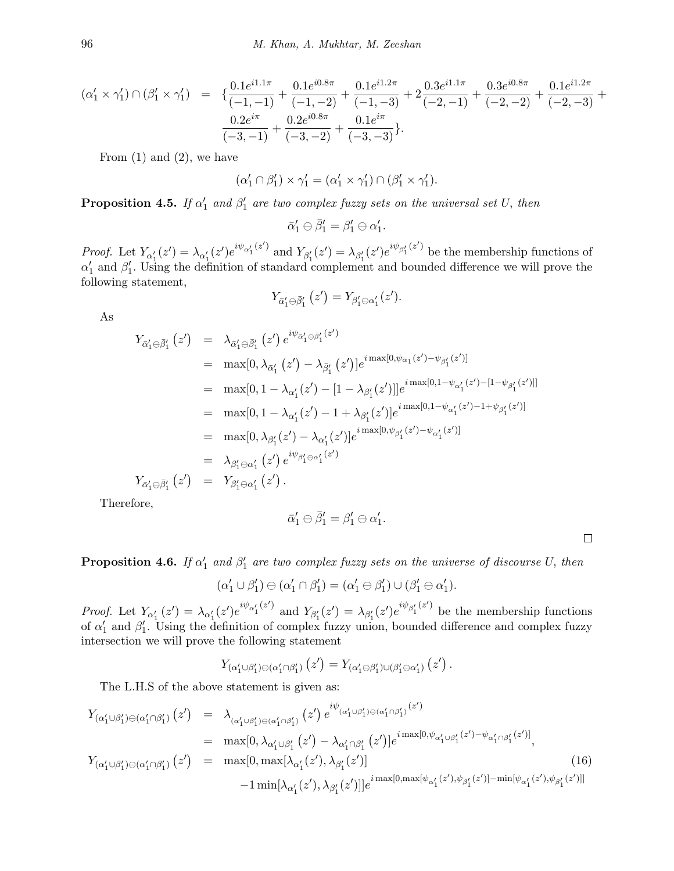$$
\begin{array}{lcl} (\alpha'_1 \times \gamma'_1) \cap (\beta'_1 \times \gamma'_1) & = & \displaystyle \{ \frac{0.1e^{i1.1\pi}}{(-1,-1)} + \frac{0.1e^{i0.8\pi}}{(-1,-2)} + \frac{0.1e^{i1.2\pi}}{(-1,-3)} + 2 \frac{0.3e^{i1.1\pi}}{(-2,-1)} + \frac{0.3e^{i0.8\pi}}{(-2,-2)} + \frac{0.1e^{i1.2\pi}}{(-2,-3)} + \\\hline & & \\ \frac{0.2e^{i\pi}}{(-3,-1)} + \frac{0.2e^{i0.8\pi}}{(-3,-2)} + \frac{0.1e^{i\pi}}{(-3,-3)} \}. \end{array}
$$

From  $(1)$  and  $(2)$ , we have

$$
(\alpha'_1 \cap \beta'_1) \times \gamma'_1 = (\alpha'_1 \times \gamma'_1) \cap (\beta'_1 \times \gamma'_1).
$$

**Proposition 4.5.** *If*  $\alpha'_1$  and  $\beta'_1$  are two complex fuzzy sets on the universal set U, then

 $\bar{\alpha}'_1 \ominus \bar{\beta}'_1 = \beta'_1 \ominus \alpha'_1.$ 

*Proof.* Let  $Y_{\alpha_1'}(z') = \lambda_{\alpha_1'}(z')e^{i\psi_{\alpha_1'}(z')}$  and  $Y_{\beta_1'}(z') = \lambda_{\beta_1'}(z')e^{i\psi_{\beta_1'}(z')}$  be the membership functions of  $\alpha'$  and  $\beta'$ . Using the definition of standard complement and bounded difference we will prove the following statement,

$$
Y_{\bar{\alpha}'_1\ominus\bar{\beta}'_1}(z')=Y_{\beta'_1\ominus\alpha'_1}(z').
$$

As

$$
Y_{\bar{\alpha}'_1 \ominus \bar{\beta}'_1}(z') = \lambda_{\bar{\alpha}'_1 \ominus \bar{\beta}'_1}(z') e^{i\psi_{\bar{\alpha}'_1 \ominus \bar{\beta}'_1}(z')}
$$
  
\n
$$
= \max[0, \lambda_{\bar{\alpha}'_1}(z') - \lambda_{\bar{\beta}'_1}(z')] e^{i \max[0, \psi_{\bar{\alpha}_1}(z') - \psi_{\bar{\beta}'_1}(z')]}
$$
  
\n
$$
= \max[0, 1 - \lambda_{\alpha'_1}(z') - [1 - \lambda_{\beta'_1}(z')] e^{i \max[0, 1 - \psi_{\alpha'_1}(z') - [1 - \psi_{\beta'_1}(z')]]}
$$
  
\n
$$
= \max[0, 1 - \lambda_{\alpha'_1}(z') - 1 + \lambda_{\beta'_1}(z')] e^{i \max[0, 1 - \psi_{\alpha'_1}(z') - 1 + \psi_{\beta'_1}(z')]} = \max[0, \lambda_{\beta'_1}(z') - \lambda_{\alpha'_1}(z')] e^{i \max[0, \psi_{\beta'_1}(z') - \psi_{\alpha'_1}(z')]} = \lambda_{\beta'_1 \ominus \alpha'_1}(z') e^{i \psi_{\beta'_1 \ominus \alpha'_1}(z')}
$$
  
\n
$$
Y_{\bar{\alpha}'_1 \ominus \bar{\beta}'_1}(z') = Y_{\beta'_1 \ominus \alpha'_1}(z').
$$

Therefore,

$$
\bar{\alpha}'_1 \ominus \bar{\beta}'_1 = \beta'_1 \ominus \alpha'_1.
$$

 $\Box$ 

## **Proposition 4.6.** *If*  $\alpha'_1$  and  $\beta'_1$  are two complex fuzzy sets on the universe of discourse *U,* then

$$
(\alpha'_1 \cup \beta'_1) \ominus (\alpha'_1 \cap \beta'_1) = (\alpha'_1 \ominus \beta'_1) \cup (\beta'_1 \ominus \alpha'_1).
$$

*Proof.* Let  $Y_{\alpha_1'}(z') = \lambda_{\alpha_1'}(z')e^{i\psi_{\alpha_1'}(z')}$  and  $Y_{\beta_1'}(z') = \lambda_{\beta_1'}(z')e^{i\psi_{\beta_1'}(z')}$  be the membership functions of  $\alpha'_{1}$  and  $\beta'_{1}$ . Using the definition of complex fuzzy union, bounded difference and complex fuzzy intersection we will prove the following statement

$$
Y_{(\alpha_1'\cup\beta_1')\ominus(\alpha_1'\cap\beta_1')}(z')=Y_{(\alpha_1'\ominus\beta_1')\cup(\beta_1'\ominus\alpha_1')}(z')\,.
$$

The L.H.S of the above statement is given as:

$$
Y_{(\alpha'_{1}\cup\beta'_{1})\ominus(\alpha'_{1}\cap\beta'_{1})}(z') = \lambda_{(\alpha'_{1}\cup\beta'_{1})\ominus(\alpha'_{1}\cap\beta'_{1})}(z') e^{i\psi_{(\alpha'_{1}\cup\beta'_{1})\ominus(\alpha'_{1}\cap\beta'_{1})}(z')}
$$
  
\n
$$
= \max[0, \lambda_{\alpha'_{1}\cup\beta'_{1}}(z') - \lambda_{\alpha'_{1}\cap\beta'_{1}}(z')] e^{i\max[0, \psi_{\alpha'_{1}\cup\beta'_{1}}(z') - \psi_{\alpha'_{1}\cap\beta'_{1}}(z')]}
$$
  
\n
$$
Y_{(\alpha'_{1}\cup\beta'_{1})\ominus(\alpha'_{1}\cap\beta'_{1})}(z') = \max[0, \max[\lambda_{\alpha'_{1}}(z'), \lambda_{\beta'_{1}}(z')]
$$
  
\n
$$
-1 \min[\lambda_{\alpha'_{1}}(z'), \lambda_{\beta'_{1}}(z')]]e^{i\max[0, \max[\psi_{\alpha'_{1}}(z'), \psi_{\beta'_{1}}(z') - \min[\psi_{\alpha'_{1}}(z'), \psi_{\beta'_{1}}(z')]]}
$$
\n(16)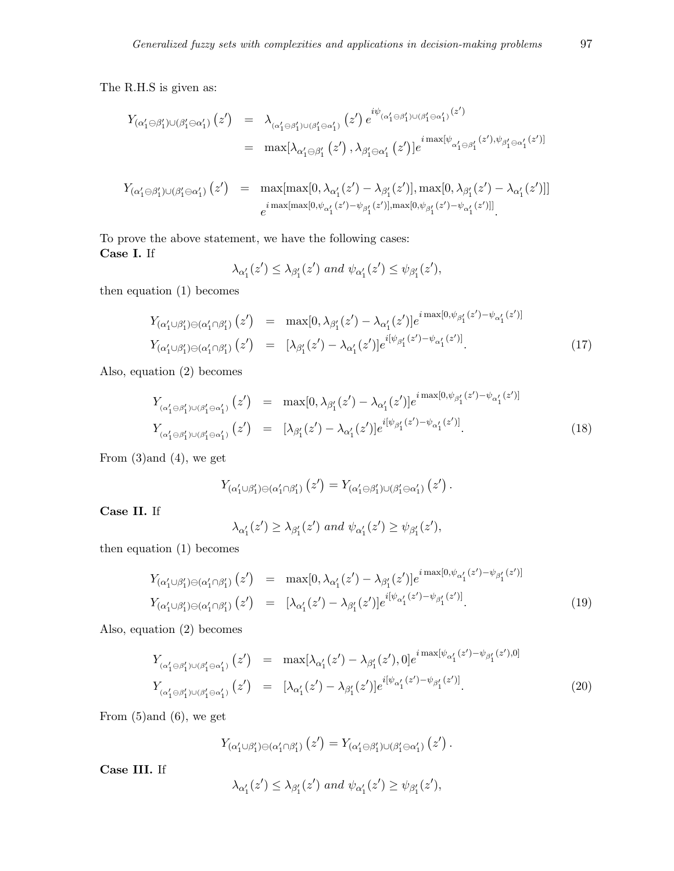The R.H.S is given as:

$$
Y_{(\alpha'_1 \ominus \beta'_1) \cup (\beta'_1 \ominus \alpha'_1)}(z') = \lambda_{(\alpha'_1 \ominus \beta'_1) \cup (\beta'_1 \ominus \alpha'_1)}(z') e^{i\psi_{(\alpha'_1 \ominus \beta'_1) \cup (\beta'_1 \ominus \alpha'_1)}(z')}
$$
  

$$
= \max[\lambda_{\alpha'_1 \ominus \beta'_1}(z'), \lambda_{\beta'_1 \ominus \alpha'_1}(z')] e^{i \max[\psi_{\alpha'_1 \ominus \beta'_1}(z'), \psi_{\beta'_1 \ominus \alpha'_1}(z')]}
$$

$$
Y_{(\alpha'_1 \ominus \beta'_1) \cup (\beta'_1 \ominus \alpha'_1)}(z') = \max[\max[0, \lambda_{\alpha'_1}(z') - \lambda_{\beta'_1}(z')], \max[0, \lambda_{\beta'_1}(z') - \lambda_{\alpha'_1}(z')]]
$$
  

$$
e^{i \max[\max[0, \psi_{\alpha'_1}(z') - \psi_{\beta'_1}(z')], \max[0, \psi_{\beta'_1}(z') - \psi_{\alpha'_1}(z')]]}.
$$

To prove the above statement, we have the following cases: **Case I.** If

$$
\lambda_{\alpha_1'}(z') \leq \lambda_{\beta_1'}(z') \text{ and } \psi_{\alpha_1'}(z') \leq \psi_{\beta_1'}(z'),
$$

then equation (1) becomes

$$
Y_{(\alpha'_1 \cup \beta'_1) \ominus (\alpha'_1 \cap \beta'_1)}(z') = \max[0, \lambda_{\beta'_1}(z') - \lambda_{\alpha'_1}(z')]e^{i \max[0, \psi_{\beta'_1}(z') - \psi_{\alpha'_1}(z')]}\n\nY_{(\alpha'_1 \cup \beta'_1) \ominus (\alpha'_1 \cap \beta'_1)}(z') = [\lambda_{\beta'_1}(z') - \lambda_{\alpha'_1}(z')]e^{i[\psi_{\beta'_1}(z') - \psi_{\alpha'_1}(z')]}. \n\n(17)
$$

Also, equation (2) becomes

$$
Y_{(\alpha'_1 \ominus \beta'_1) \cup (\beta'_1 \ominus \alpha'_1)}(z') = \max[0, \lambda_{\beta'_1}(z') - \lambda_{\alpha'_1}(z')]e^{i \max[0, \psi_{\beta'_1}(z') - \psi_{\alpha'_1}(z')]}\n\nY_{(\alpha'_1 \ominus \beta'_1) \cup (\beta'_1 \ominus \alpha'_1)}(z') = [\lambda_{\beta'_1}(z') - \lambda_{\alpha'_1}(z')]e^{i[\psi_{\beta'_1}(z') - \psi_{\alpha'_1}(z')]}.
$$
\n(18)

From (3)and (4)*,* we get

$$
Y_{(\alpha'_1 \cup \beta'_1) \ominus (\alpha'_1 \cap \beta'_1)}(z') = Y_{(\alpha'_1 \ominus \beta'_1) \cup (\beta'_1 \ominus \alpha'_1)}(z') .
$$

**Case II.** If

 $\lambda_{\alpha'_{1}}(z') \geq \lambda_{\beta'_{1}}(z')$  and  $\psi_{\alpha'_{1}}(z') \geq \psi_{\beta'_{1}}(z'),$ 

then equation (1) becomes

$$
Y_{(\alpha'_1 \cup \beta'_1) \ominus (\alpha'_1 \cap \beta'_1)}(z') = \max[0, \lambda_{\alpha'_1}(z') - \lambda_{\beta'_1}(z')]e^{i \max[0, \psi_{\alpha'_1}(z') - \psi_{\beta'_1}(z')]}\n\nY_{(\alpha'_1 \cup \beta'_1) \ominus (\alpha'_1 \cap \beta'_1)}(z') = [\lambda_{\alpha'_1}(z') - \lambda_{\beta'_1}(z')]e^{i[\psi_{\alpha'_1}(z') - \psi_{\beta'_1}(z')]}.
$$
\n(19)

Also, equation (2) becomes

$$
Y_{(\alpha'_1 \ominus \beta'_1) \cup (\beta'_1 \ominus \alpha'_1)}(z') = \max[\lambda_{\alpha'_1}(z') - \lambda_{\beta'_1}(z'), 0] e^{i \max[\psi_{\alpha'_1}(z') - \psi_{\beta'_1}(z'), 0]}
$$
  
\n
$$
Y_{(\alpha'_1 \ominus \beta'_1) \cup (\beta'_1 \ominus \alpha'_1)}(z') = [\lambda_{\alpha'_1}(z') - \lambda_{\beta'_1}(z')] e^{i[\psi_{\alpha'_1}(z') - \psi_{\beta'_1}(z')]}.
$$
\n(20)

From (5)and (6)*,* we get

$$
Y_{(\alpha'_1 \cup \beta'_1) \ominus (\alpha'_1 \cap \beta'_1)}(z') = Y_{(\alpha'_1 \ominus \beta'_1) \cup (\beta'_1 \ominus \alpha'_1)}(z').
$$

**Case III.** If

$$
\lambda_{\alpha'_1}(z') \leq \lambda_{\beta'_1}(z') \text{ and } \psi_{\alpha'_1}(z') \geq \psi_{\beta'_1}(z'),
$$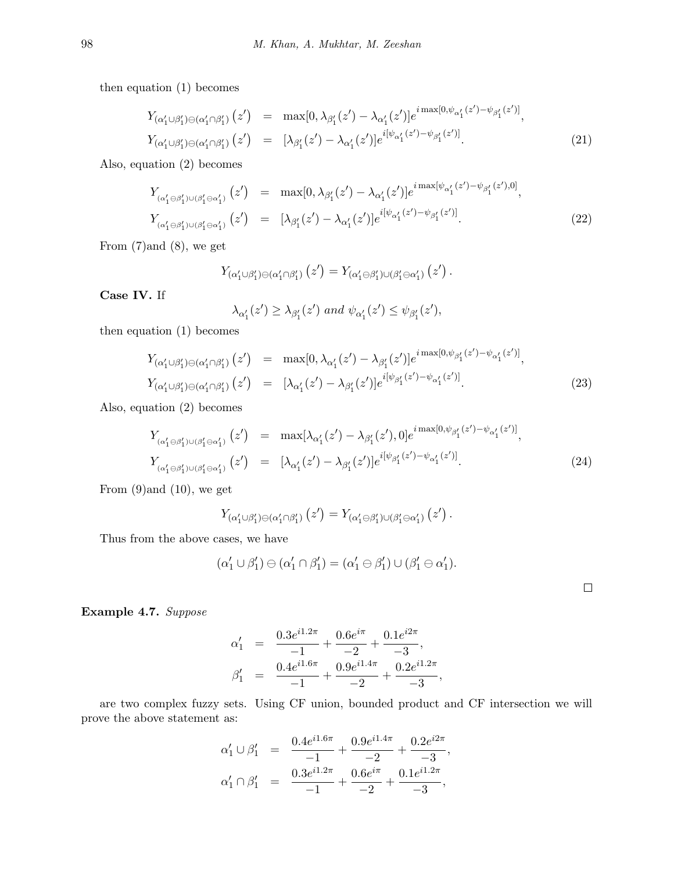then equation (1) becomes

$$
Y_{(\alpha'_1 \cup \beta'_1) \ominus (\alpha'_1 \cap \beta'_1)}(z') = \max[0, \lambda_{\beta'_1}(z') - \lambda_{\alpha'_1}(z')]e^{i \max[0, \psi_{\alpha'_1}(z') - \psi_{\beta'_1}(z')]},
$$
  
\n
$$
Y_{(\alpha'_1 \cup \beta'_1) \ominus (\alpha'_1 \cap \beta'_1)}(z') = [\lambda_{\beta'_1}(z') - \lambda_{\alpha'_1}(z')]e^{i[\psi_{\alpha'_1}(z') - \psi_{\beta'_1}(z')]}. \tag{21}
$$

Also, equation (2) becomes

$$
Y_{(\alpha'_1 \ominus \beta'_1) \cup (\beta'_1 \ominus \alpha'_1)}(z') = \max[0, \lambda_{\beta'_1}(z') - \lambda_{\alpha'_1}(z')]e^{i \max[\psi_{\alpha'_1}(z') - \psi_{\beta'_1}(z'), 0]},
$$
  
\n
$$
Y_{(\alpha'_1 \ominus \beta'_1) \cup (\beta'_1 \ominus \alpha'_1)}(z') = [\lambda_{\beta'_1}(z') - \lambda_{\alpha'_1}(z')]e^{i[\psi_{\alpha'_1}(z') - \psi_{\beta'_1}(z')]}.
$$
\n(22)

From (7)and (8)*,* we get

$$
Y_{(\alpha'_1 \cup \beta'_1) \ominus (\alpha'_1 \cap \beta'_1)}(z') = Y_{(\alpha'_1 \ominus \beta'_1) \cup (\beta'_1 \ominus \alpha'_1)}(z').
$$

**Case IV.** If

$$
\lambda_{\alpha'_1}(z') \geq \lambda_{\beta'_1}(z') \text{ and } \psi_{\alpha'_1}(z') \leq \psi_{\beta'_1}(z'),
$$

then equation (1) becomes

$$
Y_{(\alpha'_1 \cup \beta'_1) \ominus (\alpha'_1 \cap \beta'_1)}(z') = \max[0, \lambda_{\alpha'_1}(z') - \lambda_{\beta'_1}(z')] e^{i \max[0, \psi_{\beta'_1}(z') - \psi_{\alpha'_1}(z')]},
$$
  
\n
$$
Y_{(\alpha'_1 \cup \beta'_1) \ominus (\alpha'_1 \cap \beta'_1)}(z') = [\lambda_{\alpha'_1}(z') - \lambda_{\beta'_1}(z')] e^{i[\psi_{\beta'_1}(z') - \psi_{\alpha'_1}(z')]}. \tag{23}
$$

Also, equation (2) becomes

$$
Y_{(\alpha'_1 \ominus \beta'_1) \cup (\beta'_1 \ominus \alpha'_1)}(z') = \max[\lambda_{\alpha'_1}(z') - \lambda_{\beta'_1}(z'), 0] e^{i \max[0, \psi_{\beta'_1}(z') - \psi_{\alpha'_1}(z')]},
$$
  
\n
$$
Y_{(\alpha'_1 \ominus \beta'_1) \cup (\beta'_1 \ominus \alpha'_1)}(z') = [\lambda_{\alpha'_1}(z') - \lambda_{\beta'_1}(z')] e^{i[\psi_{\beta'_1}(z') - \psi_{\alpha'_1}(z')]}. \tag{24}
$$

From (9)and (10)*,* we get

$$
Y_{(\alpha'_1 \cup \beta'_1) \ominus (\alpha'_1 \cap \beta'_1)}(z') = Y_{(\alpha'_1 \ominus \beta'_1) \cup (\beta'_1 \ominus \alpha'_1)}(z').
$$

Thus from the above cases, we have

$$
(\alpha'_1 \cup \beta'_1) \ominus (\alpha'_1 \cap \beta'_1) = (\alpha'_1 \ominus \beta'_1) \cup (\beta'_1 \ominus \alpha'_1).
$$

**Example 4.7.** *Suppose*

$$
\alpha'_1 = \frac{0.3e^{i1.2\pi}}{-1} + \frac{0.6e^{i\pi}}{-2} + \frac{0.1e^{i2\pi}}{-3},
$$
  

$$
\beta'_1 = \frac{0.4e^{i1.6\pi}}{-1} + \frac{0.9e^{i1.4\pi}}{-2} + \frac{0.2e^{i1.2\pi}}{-3},
$$

are two complex fuzzy sets. Using CF union, bounded product and CF intersection we will prove the above statement as:

$$
\begin{array}{rcl}\n\alpha'_1 \cup \beta'_1 &=& \frac{0.4e^{i1.6\pi}}{-1} + \frac{0.9e^{i1.4\pi}}{-2} + \frac{0.2e^{i2\pi}}{-3}, \\
\alpha'_1 \cap \beta'_1 &=& \frac{0.3e^{i1.2\pi}}{-1} + \frac{0.6e^{i\pi}}{-2} + \frac{0.1e^{i1.2\pi}}{-3},\n\end{array}
$$

 $\Box$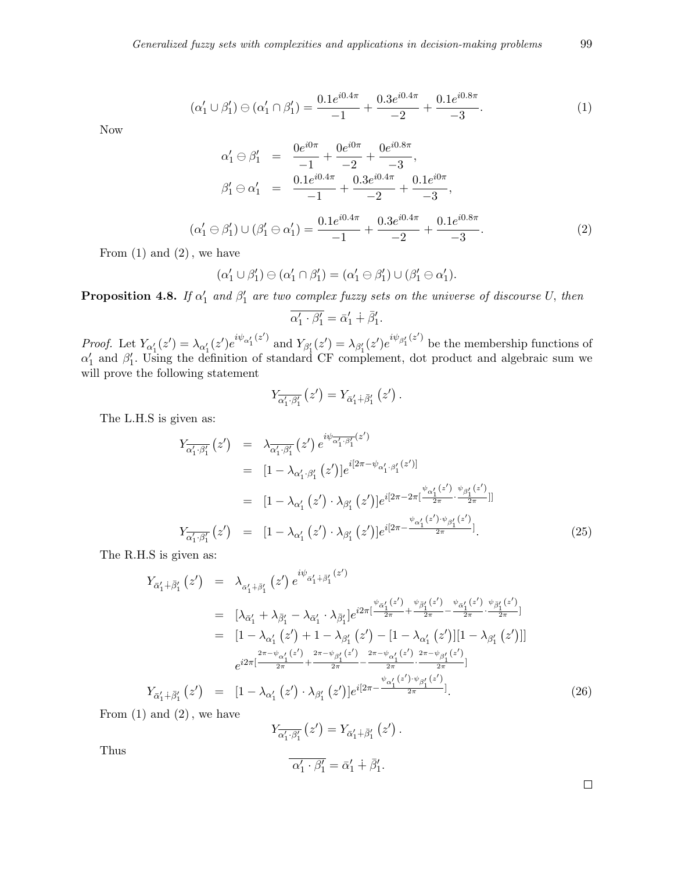$$
(\alpha'_1 \cup \beta'_1) \ominus (\alpha'_1 \cap \beta'_1) = \frac{0.1e^{i0.4\pi}}{-1} + \frac{0.3e^{i0.4\pi}}{-2} + \frac{0.1e^{i0.8\pi}}{-3}.
$$
 (1)

Now

$$
\alpha'_1 \ominus \beta'_1 = \frac{0e^{i0\pi}}{-1} + \frac{0e^{i0\pi}}{-2} + \frac{0e^{i0.8\pi}}{-3},
$$
  
\n
$$
\beta'_1 \ominus \alpha'_1 = \frac{0.1e^{i0.4\pi}}{-1} + \frac{0.3e^{i0.4\pi}}{-2} + \frac{0.1e^{i0\pi}}{-3},
$$
  
\n
$$
(\alpha'_1 \ominus \beta'_1) \cup (\beta'_1 \ominus \alpha'_1) = \frac{0.1e^{i0.4\pi}}{-1} + \frac{0.3e^{i0.4\pi}}{-2} + \frac{0.1e^{i0.8\pi}}{-3}.
$$
 (2)

From (1) and (2)*,* we have

$$
(\alpha'_1 \cup \beta'_1) \ominus (\alpha'_1 \cap \beta'_1) = (\alpha'_1 \ominus \beta'_1) \cup (\beta'_1 \ominus \alpha'_1).
$$

**Proposition 4.8.** *If*  $\alpha'_1$  and  $\beta'_1$  are two complex fuzzy sets on the universe of discourse *U,* then

$$
\overline{\alpha'_1 \cdot \beta'_1} = \overline{\alpha'_1} + \overline{\beta'_1}.
$$

*Proof.* Let  $Y_{\alpha_1'}(z') = \lambda_{\alpha_1'}(z')e^{i\psi_{\alpha_1'}(z')}$  and  $Y_{\beta_1'}(z') = \lambda_{\beta_1'}(z')e^{i\psi_{\beta_1'}(z')}$  be the membership functions of  $\alpha'_{1}$  and  $\beta'_{1}$ . Using the definition of standard CF complement, dot product and algebraic sum we will prove the following statement

$$
Y_{\overline{\alpha'_1} \cdot \overline{\beta'_1}}(z') = Y_{\overline{\alpha'_1} + \overline{\beta'_1}}(z') .
$$

The L.H.S is given as:

$$
Y_{\overline{\alpha'_1 \cdot \beta'_1}}(z') = \lambda_{\overline{\alpha'_1 \cdot \beta'_1}}(z') e^{i\psi_{\overline{\alpha'_1 \cdot \beta'_1}}(z')}
$$
  
\n
$$
= [1 - \lambda_{\alpha'_1 \cdot \beta'_1} (z')] e^{i[2\pi - \psi_{\alpha'_1 \cdot \beta'_1} (z')]}
$$
  
\n
$$
= [1 - \lambda_{\alpha'_1} (z') \cdot \lambda_{\beta'_1} (z')] e^{i[2\pi - 2\pi [\frac{\psi_{\alpha'_1}(z')}{2\pi} \cdot \frac{\psi_{\beta'_1}(z')}{2\pi}]]}
$$
  
\n
$$
Y_{\overline{\alpha'_1 \cdot \beta'_1}}(z') = [1 - \lambda_{\alpha'_1} (z') \cdot \lambda_{\beta'_1} (z')] e^{i[2\pi - \frac{\psi_{\alpha'_1}(z') \cdot \psi_{\beta'_1}(z')}{2\pi}]}.
$$
(25)

The R.H.S is given as:

$$
Y_{\bar{\alpha}'_1 + \bar{\beta}'_1}(z') = \lambda_{\bar{\alpha}'_1 + \bar{\beta}'_1}(z') e^{i\psi_{\bar{\alpha}'_1 + \bar{\beta}'_1}(z')}
$$
  
\n
$$
= [\lambda_{\bar{\alpha}'_1} + \lambda_{\bar{\beta}'_1} - \lambda_{\bar{\alpha}'_1} \cdot \lambda_{\bar{\beta}'_1}] e^{i2\pi [\frac{\psi_{\bar{\alpha}'_1}(z')}{2\pi} + \frac{\psi_{\bar{\beta}'_1}(z')}{2\pi} - \frac{\psi_{\bar{\alpha}'_1}(z')}{2\pi} \cdot \frac{\psi_{\bar{\beta}'_1}(z')}{2\pi}]}{2\pi}]
$$
  
\n
$$
= [1 - \lambda_{\alpha'_1}(z') + 1 - \lambda_{\beta'_1}(z') - [1 - \lambda_{\alpha'_1}(z')][1 - \lambda_{\beta'_1}(z')]]
$$
  
\n
$$
e^{i2\pi [\frac{2\pi - \psi_{\alpha'_1}(z')}{2\pi} + \frac{2\pi - \psi_{\beta'_1}(z')}{2\pi} - \frac{2\pi - \psi_{\alpha'_1}(z')}{2\pi} \cdot \frac{2\pi - \psi_{\beta'_1}(z')}{2\pi}]}
$$
  
\n
$$
Y_{\bar{\alpha}'_1 + \bar{\beta}'_1}(z') = [1 - \lambda_{\alpha'_1}(z') \cdot \lambda_{\beta'_1}(z')] e^{i[2\pi - \frac{\psi_{\alpha'_1}(z') \cdot \psi_{\beta'_1}(z')}{2\pi}]}.
$$
  
\n(26)

From (1) and (2)*,* we have

$$
Y_{\overline{\alpha'_1} \cdot \overline{\beta'_1}}(z') = Y_{\overline{\alpha'_1} + \overline{\beta'_1}}(z').
$$
  

$$
\overline{\alpha'_1 \cdot \beta'_1} = \overline{\alpha'_1} + \overline{\beta'_1}.
$$

Thus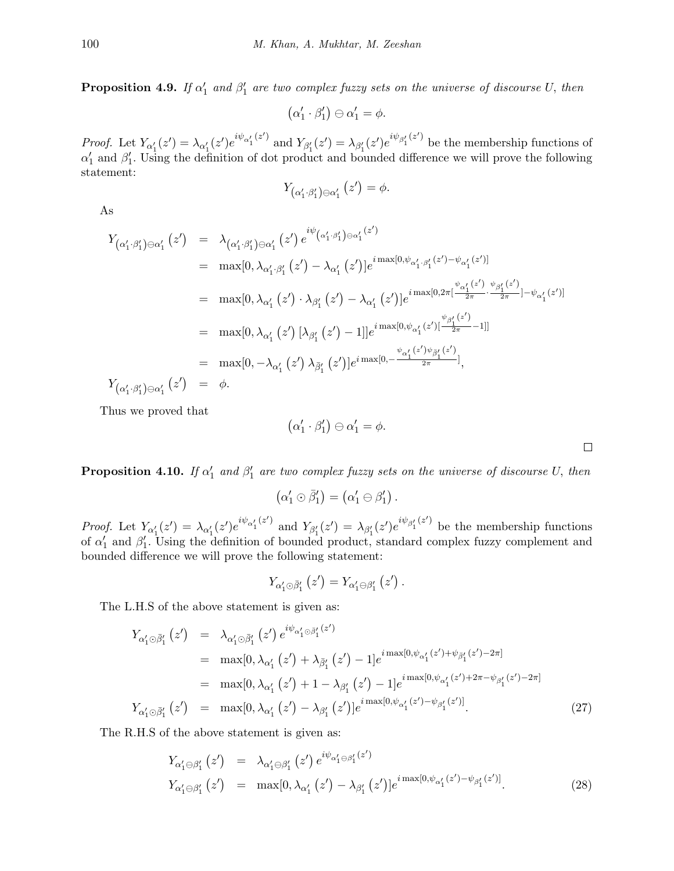**Proposition 4.9.** *If*  $\alpha'_1$  and  $\beta'_1$  are two complex fuzzy sets on the universe of discourse *U,* then

$$
(\alpha_1'\cdot\beta_1')\ominus\alpha_1'=\phi.
$$

*Proof.* Let  $Y_{\alpha_1'}(z') = \lambda_{\alpha_1'}(z')e^{i\psi_{\alpha_1'}(z')}$  and  $Y_{\beta_1'}(z') = \lambda_{\beta_1'}(z')e^{i\psi_{\beta_1'}(z')}$  be the membership functions of  $\alpha'_{1}$  and  $\beta'_{1}$ . Using the definition of dot product and bounded difference we will prove the following statement:

$$
Y_{\left(\alpha_{1}^{\prime}\cdot\beta_{1}^{\prime}\right)\ominus\alpha_{1}^{\prime}}\left(z^{\prime}\right)=\phi.
$$

As

$$
Y_{(\alpha'_1 \cdot \beta'_1) \ominus \alpha'_1} (z') = \lambda_{(\alpha'_1 \cdot \beta'_1) \ominus \alpha'_1} (z') e^{i\psi_{(\alpha'_1 \cdot \beta'_1) \ominus \alpha'_1} (z')}
$$
  
\n
$$
= \max[0, \lambda_{\alpha'_1 \cdot \beta'_1} (z') - \lambda_{\alpha'_1} (z')] e^{i \max[0, \psi_{\alpha'_1 \cdot \beta'_1} (z') - \psi_{\alpha'_1} (z')]}
$$
  
\n
$$
= \max[0, \lambda_{\alpha'_1} (z') \cdot \lambda_{\beta'_1} (z') - \lambda_{\alpha'_1} (z')] e^{i \max[0, \psi_{\alpha'_1} (z') - \psi_{\alpha'_1} (z')]}
$$
  
\n
$$
= \max[0, \lambda_{\alpha'_1} (z') [\lambda_{\beta'_1} (z') - 1]] e^{i \max[0, \psi_{\alpha'_1} (z')] - \psi_{\beta'_1} (z')} = \max[0, -\lambda_{\alpha'_1} (z') \lambda_{\beta'_1} (z')] e^{i \max[0, -\frac{\psi_{\alpha'_1} (z') \psi_{\beta'_1} (z')}{2\pi}]}
$$
  
\n
$$
Y_{(\alpha'_1 \cdot \beta'_1) \ominus \alpha'_1} (z') = \phi.
$$

Thus we proved that

$$
\alpha_1'\cdot\beta_1')\ominus\alpha_1'=\phi.
$$

**Proposition 4.10.** *If*  $\alpha'_1$  and  $\beta'_1$  are two complex fuzzy sets on the universe of discourse *U,* then

(

$$
(\alpha'_1 \odot \bar{\beta}'_1) = (\alpha'_1 \ominus \beta'_1).
$$

*Proof.* Let  $Y_{\alpha_1'}(z') = \lambda_{\alpha_1'}(z')e^{i\psi_{\alpha_1'}(z')}$  and  $Y_{\beta_1'}(z') = \lambda_{\beta_1'}(z')e^{i\psi_{\beta_1'}(z')}$  be the membership functions of  $\alpha'_{1}$  and  $\beta'_{1}$ . Using the definition of bounded product, standard complex fuzzy complement and bounded difference we will prove the following statement:

$$
Y_{\alpha_{1}'\odot\bar{\beta}_{1}'}(z')=Y_{\alpha_{1}'\ominus\beta_{1}'}(z')\,.
$$

The L.H.S of the above statement is given as:

$$
Y_{\alpha'_{1}\odot\bar{\beta}'_{1}}(z') = \lambda_{\alpha'_{1}\odot\bar{\beta}'_{1}}(z') e^{i\psi_{\alpha'_{1}\odot\bar{\beta}'_{1}}(z')}
$$
  
\n
$$
= \max[0, \lambda_{\alpha'_{1}}(z') + \lambda_{\bar{\beta}'_{1}}(z') - 1] e^{i\max[0, \psi_{\alpha'_{1}}(z') + \psi_{\bar{\beta}'_{1}}(z') - 2\pi]}
$$
  
\n
$$
= \max[0, \lambda_{\alpha'_{1}}(z') + 1 - \lambda_{\beta'_{1}}(z') - 1] e^{i\max[0, \psi_{\alpha'_{1}}(z') + 2\pi - \psi_{\beta'_{1}}(z') - 2\pi]}
$$
  
\n
$$
Y_{\alpha'_{1}\odot\bar{\beta}'_{1}}(z') = \max[0, \lambda_{\alpha'_{1}}(z') - \lambda_{\beta'_{1}}(z')] e^{i\max[0, \psi_{\alpha'_{1}}(z') - \psi_{\beta'_{1}}(z')]}. \tag{27}
$$

The R.H.S of the above statement is given as:

$$
Y_{\alpha'_{1} \ominus \beta'_{1}}(z') = \lambda_{\alpha'_{1} \ominus \beta'_{1}}(z') e^{i\psi_{\alpha'_{1} \ominus \beta'_{1}}(z')}
$$
  
\n
$$
Y_{\alpha'_{1} \ominus \beta'_{1}}(z') = \max[0, \lambda_{\alpha'_{1}}(z') - \lambda_{\beta'_{1}}(z')] e^{i \max[0, \psi_{\alpha'_{1}}(z') - \psi_{\beta'_{1}}(z')]}.
$$
\n(28)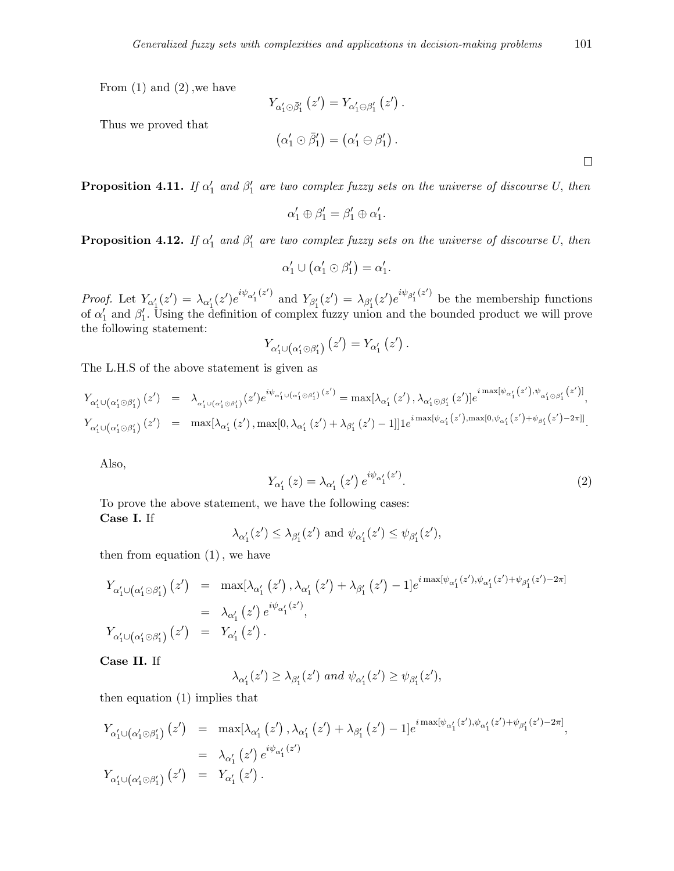From (1) and (2)*,*we have

Thus we proved that

$$
Y_{\alpha'_1 \odot \bar{\beta}'_1} (z') = Y_{\alpha'_1 \ominus \beta'_1} (z') .
$$
  

$$
(\alpha'_1 \odot \bar{\beta}'_1) = (\alpha'_1 \ominus \beta'_1) .
$$

**Proposition 4.11.** *If*  $\alpha'_1$  *and*  $\beta'_1$  *are two complex fuzzy sets on the universe of discourse U, then* 

$$
\alpha_1' \oplus \beta_1' = \beta_1' \oplus \alpha_1'.
$$

**Proposition 4.12.** *If*  $\alpha'_1$  and  $\beta'_1$  are two complex fuzzy sets on the universe of discourse *U,* then

$$
\alpha'_1 \cup (\alpha'_1 \odot \beta'_1) = \alpha'_1.
$$

*Proof.* Let  $Y_{\alpha_1'}(z') = \lambda_{\alpha_1'}(z')e^{i\psi_{\alpha_1'}(z')}$  and  $Y_{\beta_1'}(z') = \lambda_{\beta_1'}(z')e^{i\psi_{\beta_1'}(z')}$  be the membership functions of  $\alpha'_{1}$  and  $\beta'_{1}$ . Using the definition of complex fuzzy union and the bounded product we will prove the following statement:

$$
Y_{\alpha_1'\cup(\alpha_1'\odot\beta_1')}(z')=Y_{\alpha_1'}(z')\,.
$$

The L.H.S of the above statement is given as

$$
Y_{\alpha_1'\cup(\alpha_1'\odot\beta_1')}(z') = \lambda_{\alpha_1'\cup(\alpha_1'\odot\beta_1')}(z')e^{i\psi_{\alpha_1'\cup(\alpha_1'\odot\beta_1')}(z')} = \max[\lambda_{\alpha_1'}(z'),\lambda_{\alpha_1'\odot\beta_1'}(z')]e^{i\max[\psi_{\alpha_1'}(z'),\psi_{\alpha_1'\odot\beta_1'}(z')]} ,
$$
  
\n
$$
Y_{\alpha_1'\cup(\alpha_1'\odot\beta_1')}(z') = \max[\lambda_{\alpha_1'}(z'),\max[0,\lambda_{\alpha_1'}(z')+\lambda_{\beta_1'}(z')-1]]1e^{i\max[\psi_{\alpha_1'}(z'),\max[0,\psi_{\alpha_1'}(z')+\psi_{\beta_1'}(z')-2\pi]]}.
$$

Also,

$$
Y_{\alpha'_{1}}(z) = \lambda_{\alpha'_{1}}(z') e^{i\psi_{\alpha'_{1}}(z')}.
$$
\n(2)

 $\Box$ 

To prove the above statement, we have the following cases: **Case I.** If

$$
\lambda_{\alpha'_1}(z') \leq \lambda_{\beta'_1}(z') \text{ and } \psi_{\alpha'_1}(z') \leq \psi_{\beta'_1}(z'),
$$

then from equation (1)*,* we have

$$
Y_{\alpha'_{1} \cup (\alpha'_{1} \odot \beta'_{1})} (z') = \max[\lambda_{\alpha'_{1}} (z'), \lambda_{\alpha'_{1}} (z') + \lambda_{\beta'_{1}} (z') - 1] e^{i \max[\psi_{\alpha'_{1}}(z'), \psi_{\alpha'_{1}}(z') + \psi_{\beta'_{1}}(z') - 2\pi]}
$$
  
\n
$$
Y_{\alpha'_{1} \cup (\alpha'_{1} \odot \beta'_{1})} (z') = Y_{\alpha'_{1}} (z').
$$
  
\n
$$
Y_{\alpha'_{1} \cup (\alpha'_{1} \odot \beta'_{1})} (z') = Y_{\alpha'_{1}} (z').
$$

**Case II.** If

$$
\lambda_{\alpha_1'}(z') \geq \lambda_{\beta_1'}(z') \text{ and } \psi_{\alpha_1'}(z') \geq \psi_{\beta_1'}(z'),
$$

then equation (1) implies that

$$
Y_{\alpha'_{1} \cup (\alpha'_{1} \odot \beta'_{1})} (z') = \max[\lambda_{\alpha'_{1}} (z'), \lambda_{\alpha'_{1}} (z') + \lambda_{\beta'_{1}} (z') - 1] e^{i \max[\psi_{\alpha'_{1}}(z'), \psi_{\alpha'_{1}}(z') + \psi_{\beta'_{1}}(z') - 2\pi]} = \lambda_{\alpha'_{1}} (z') e^{i\psi_{\alpha'_{1}}(z')} Y_{\alpha'_{1} \cup (\alpha'_{1} \odot \beta'_{1})} (z') = Y_{\alpha'_{1}} (z').
$$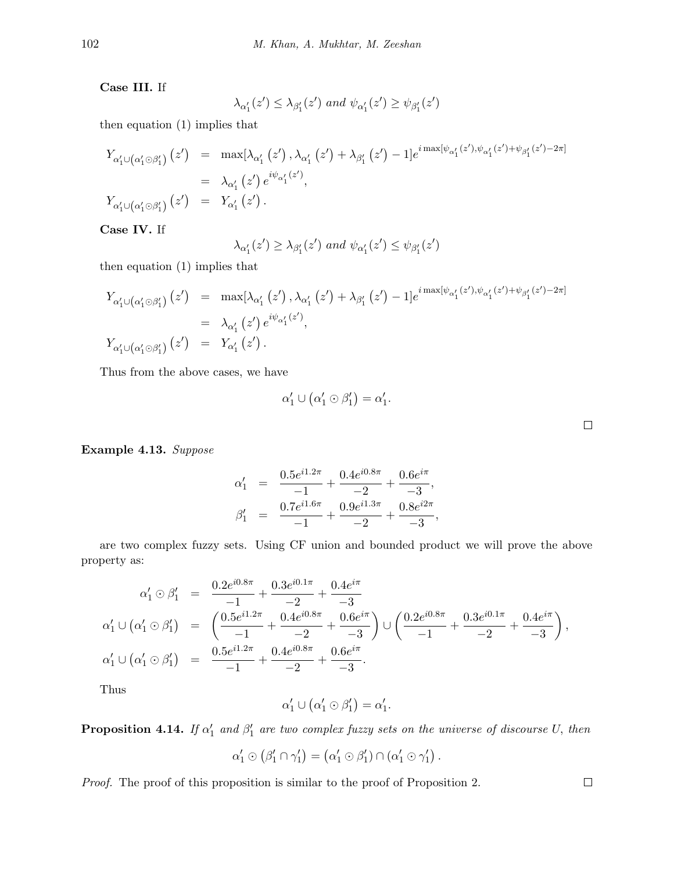**Case III.** If

$$
\lambda_{\alpha_1'}(z') \leq \lambda_{\beta_1'}(z') \text{ and } \psi_{\alpha_1'}(z') \geq \psi_{\beta_1'}(z')
$$

then equation (1) implies that

$$
Y_{\alpha'_1 \cup (\alpha'_1 \odot \beta'_1)}(z') = \max[\lambda_{\alpha'_1}(z'), \lambda_{\alpha'_1}(z') + \lambda_{\beta'_1}(z') - 1]e^{i \max[\psi_{\alpha'_1}(z'), \psi_{\alpha'_1}(z') + \psi_{\beta'_1}(z') - 2\pi]}
$$
  
\n
$$
= \lambda_{\alpha'_1}(z') e^{i\psi_{\alpha'_1}(z')},
$$
  
\n
$$
Y_{\alpha'_1 \cup (\alpha'_1 \odot \beta'_1)}(z') = Y_{\alpha'_1}(z').
$$

**Case IV.** If

$$
\lambda_{\alpha'_1}(z') \geq \lambda_{\beta'_1}(z')
$$
 and  $\psi_{\alpha'_1}(z') \leq \psi_{\beta'_1}(z')$ 

then equation (1) implies that

$$
Y_{\alpha'_{1}\cup(\alpha'_{1}\odot\beta'_{1})}(z') = \max[\lambda_{\alpha'_{1}}(z'), \lambda_{\alpha'_{1}}(z') + \lambda_{\beta'_{1}}(z') - 1]e^{i\max[\psi_{\alpha'_{1}}(z'), \psi_{\alpha'_{1}}(z') + \psi_{\beta'_{1}}(z') - 2\pi]}
$$
  
\n
$$
Y_{\alpha'_{1}\cup(\alpha'_{1}\odot\beta'_{1})}(z') = Y_{\alpha'_{1}}(z').
$$
  
\n
$$
Y_{\alpha'_{1}\cup(\alpha'_{1}\odot\beta'_{1})}(z') = Y_{\alpha'_{1}}(z').
$$

Thus from the above cases, we have

$$
\alpha'_1 \cup (\alpha'_1 \odot \beta'_1) = \alpha'_1.
$$

 $\Box$ 

 $\Box$ 

**Example 4.13.** *Suppose*

$$
\alpha'_1 = \frac{0.5e^{i1.2\pi}}{-1} + \frac{0.4e^{i0.8\pi}}{-2} + \frac{0.6e^{i\pi}}{-3},
$$
  

$$
\beta'_1 = \frac{0.7e^{i1.6\pi}}{-1} + \frac{0.9e^{i1.3\pi}}{-2} + \frac{0.8e^{i2\pi}}{-3},
$$

are two complex fuzzy sets. Using CF union and bounded product we will prove the above property as:

$$
\alpha'_1 \odot \beta'_1 = \frac{0.2e^{i0.8\pi}}{-1} + \frac{0.3e^{i0.1\pi}}{-2} + \frac{0.4e^{i\pi}}{-3}
$$
\n
$$
\alpha'_1 \cup (\alpha'_1 \odot \beta'_1) = \left(\frac{0.5e^{i1.2\pi}}{-1} + \frac{0.4e^{i0.8\pi}}{-2} + \frac{0.6e^{i\pi}}{-3}\right) \cup \left(\frac{0.2e^{i0.8\pi}}{-1} + \frac{0.3e^{i0.1\pi}}{-2} + \frac{0.4e^{i\pi}}{-3}\right),
$$
\n
$$
\alpha'_1 \cup (\alpha'_1 \odot \beta'_1) = \frac{0.5e^{i1.2\pi}}{-1} + \frac{0.4e^{i0.8\pi}}{-2} + \frac{0.6e^{i\pi}}{-3}.
$$

Thus

$$
\alpha'_1 \cup (\alpha'_1 \odot \beta'_1) = \alpha'_1.
$$

**Proposition 4.14.** If  $\alpha'_1$  and  $\beta'_1$  are two complex fuzzy sets on the universe of discourse U, then

$$
\alpha'_1 \odot (\beta'_1 \cap \gamma'_1) = (\alpha'_1 \odot \beta'_1) \cap (\alpha'_1 \odot \gamma'_1).
$$

*Proof.* The proof of this proposition is similar to the proof of Proposition 2.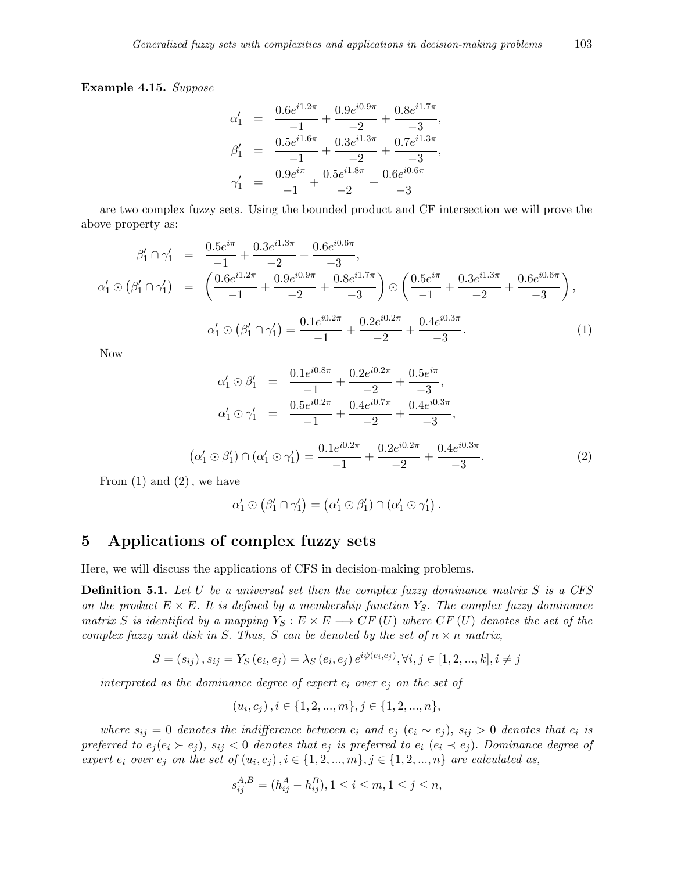**Example 4.15.** *Suppose*

$$
\alpha'_1 = \frac{0.6e^{i1.2\pi}}{-1} + \frac{0.9e^{i0.9\pi}}{-2} + \frac{0.8e^{i1.7\pi}}{-3},
$$
  
\n
$$
\beta'_1 = \frac{0.5e^{i1.6\pi}}{-1} + \frac{0.3e^{i1.3\pi}}{-2} + \frac{0.7e^{i1.3\pi}}{-3},
$$
  
\n
$$
\gamma'_1 = \frac{0.9e^{i\pi}}{-1} + \frac{0.5e^{i1.8\pi}}{-2} + \frac{0.6e^{i0.6\pi}}{-3}
$$

are two complex fuzzy sets. Using the bounded product and CF intersection we will prove the above property as:

$$
\beta'_1 \cap \gamma'_1 = \frac{0.5e^{i\pi}}{-1} + \frac{0.3e^{i1.3\pi}}{-2} + \frac{0.6e^{i0.6\pi}}{-3},
$$
\n
$$
\alpha'_1 \odot (\beta'_1 \cap \gamma'_1) = \left(\frac{0.6e^{i1.2\pi}}{-1} + \frac{0.9e^{i0.9\pi}}{-2} + \frac{0.8e^{i1.7\pi}}{-3}\right) \odot \left(\frac{0.5e^{i\pi}}{-1} + \frac{0.3e^{i1.3\pi}}{-2} + \frac{0.6e^{i0.6\pi}}{-3}\right),
$$
\n
$$
\alpha'_1 \odot (\beta'_1 \cap \gamma'_1) = \frac{0.1e^{i0.2\pi}}{-1} + \frac{0.2e^{i0.2\pi}}{-2} + \frac{0.4e^{i0.3\pi}}{-3}.
$$
\n(1)

Now

$$
\alpha'_1 \odot \beta'_1 = \frac{0.1e^{i0.8\pi}}{-1} + \frac{0.2e^{i0.2\pi}}{-2} + \frac{0.5e^{i\pi}}{-3},
$$
  
\n
$$
\alpha'_1 \odot \gamma'_1 = \frac{0.5e^{i0.2\pi}}{-1} + \frac{0.4e^{i0.7\pi}}{-2} + \frac{0.4e^{i0.3\pi}}{-3},
$$
  
\n
$$
(\alpha'_1 \odot \beta'_1) \cap (\alpha'_1 \odot \gamma'_1) = \frac{0.1e^{i0.2\pi}}{-1} + \frac{0.2e^{i0.2\pi}}{-2} + \frac{0.4e^{i0.3\pi}}{-3}.
$$
 (2)

From (1) and (2)*,* we have

$$
\alpha'_1 \odot (\beta'_1 \cap \gamma'_1) = (\alpha'_1 \odot \beta'_1) \cap (\alpha'_1 \odot \gamma'_1).
$$

## **5 Applications of complex fuzzy sets**

Here, we will discuss the applications of CFS in decision-making problems.

**Definition 5.1.** *Let U be a universal set then the complex fuzzy dominance matrix S is a CFS on the product*  $E \times E$ . It is defined by a membership function  $Y_S$ . The complex fuzzy dominance *matrix S is identified by a mapping*  $Y_S : E \times E \longrightarrow CF(U)$  *where*  $CF(U)$  *denotes the set of the complex fuzzy unit disk in S. Thus, S can be denoted by the set of*  $n \times n$  *matrix,* 

$$
S = (s_{ij}), s_{ij} = Y_S(e_i, e_j) = \lambda_S(e_i, e_j) e^{i\psi(e_i, e_j)}, \forall i, j \in [1, 2, ..., k], i \neq j
$$

*interpreted as the dominance degree of expert e<sup>i</sup> over e<sup>j</sup> on the set of*

$$
(u_i, c_j), i \in \{1, 2, ..., m\}, j \in \{1, 2, ..., n\},\
$$

where  $s_{ij} = 0$  denotes the indifference between  $e_i$  and  $e_j$   $(e_i \sim e_j)$ ,  $s_{ij} > 0$  denotes that  $e_i$  is preferred to  $e_j(e_i \succ e_j)$ ,  $s_{ij} < 0$  denotes that  $e_j$  is preferred to  $e_i$   $(e_i \prec e_j)$ . Dominance degree of expert  $e_i$  over  $e_j$  on the set of  $(u_i, c_j)$ ,  $i \in \{1, 2, ..., m\}$ ,  $j \in \{1, 2, ..., n\}$  are calculated as,

$$
s_{ij}^{A,B} = (h_{ij}^A - h_{ij}^B), 1 \le i \le m, 1 \le j \le n,
$$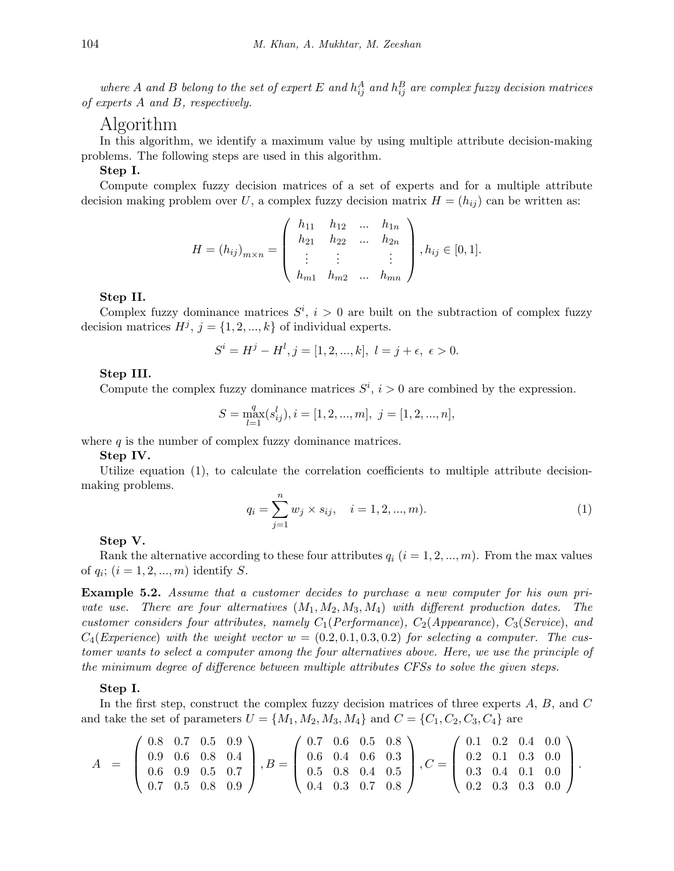*where A* and *B* belong to the set of expert *E* and  $h_{ij}^A$  and  $h_{ij}^B$  are complex fuzzy decision matrices *of experts A and B, respectively.*

## Algorithm

In this algorithm, we identify a maximum value by using multiple attribute decision-making problems. The following steps are used in this algorithm.

#### **Step I.**

Compute complex fuzzy decision matrices of a set of experts and for a multiple attribute decision making problem over *U*, a complex fuzzy decision matrix  $H = (h_{ij})$  can be written as:

$$
H = (h_{ij})_{m \times n} = \begin{pmatrix} h_{11} & h_{12} & \dots & h_{1n} \\ h_{21} & h_{22} & \dots & h_{2n} \\ \vdots & \vdots & & \vdots \\ h_{m1} & h_{m2} & \dots & h_{mn} \end{pmatrix}, h_{ij} \in [0, 1].
$$

#### **Step II.**

Complex fuzzy dominance matrices  $S^i$ ,  $i > 0$  are built on the subtraction of complex fuzzy decision matrices  $H^j$ ,  $j = \{1, 2, ..., k\}$  of individual experts.

$$
S^{i} = H^{j} - H^{l}, j = [1, 2, ..., k], l = j + \epsilon, \epsilon > 0.
$$

#### **Step III.**

Compute the complex fuzzy dominance matrices  $S^i$ ,  $i > 0$  are combined by the expression.

$$
S = \max_{l=1}^{q} (s_{ij}^l), i = [1, 2, ..., m], j = [1, 2, ..., n],
$$

where  $q$  is the number of complex fuzzy dominance matrices.

#### **Step IV.**

Utilize equation (1)*,* to calculate the correlation coefficients to multiple attribute decisionmaking problems.

$$
q_i = \sum_{j=1}^{n} w_j \times s_{ij}, \quad i = 1, 2, ..., m). \tag{1}
$$

#### **Step V.**

Rank the alternative according to these four attributes  $q_i$  ( $i = 1, 2, ..., m$ ). From the max values of  $q_i$ ;  $(i = 1, 2, ..., m)$  identify *S*.

**Example 5.2.** *Assume that a customer decides to purchase a new computer for his own private use. There are four alternatives*  $(M_1, M_2, M_3, M_4)$  *with different production dates. The customer considers four attributes, namely*  $C_1(Performance)$ *,*  $C_2(Appearance)$ *,*  $C_3(Serve)$ *, and*  $C_4(Ex$  *perience*) with the weight vector  $w = (0.2, 0.1, 0.3, 0.2)$  for selecting a computer. The cus*tomer wants to select a computer among the four alternatives above. Here, we use the principle of the minimum degree of difference between multiple attributes CFSs to solve the given steps.*

#### **Step I.**

In the first step, construct the complex fuzzy decision matrices of three experts *A, B*, and *C* and take the set of parameters  $U = \{M_1, M_2, M_3, M_4\}$  and  $C = \{C_1, C_2, C_3, C_4\}$  are

$$
A = \left(\begin{array}{cccc} 0.8 & 0.7 & 0.5 & 0.9 \\ 0.9 & 0.6 & 0.8 & 0.4 \\ 0.6 & 0.9 & 0.5 & 0.7 \\ 0.7 & 0.5 & 0.8 & 0.9 \end{array}\right), B = \left(\begin{array}{cccc} 0.7 & 0.6 & 0.5 & 0.8 \\ 0.6 & 0.4 & 0.6 & 0.3 \\ 0.5 & 0.8 & 0.4 & 0.5 \\ 0.4 & 0.3 & 0.7 & 0.8 \end{array}\right), C = \left(\begin{array}{cccc} 0.1 & 0.2 & 0.4 & 0.0 \\ 0.2 & 0.1 & 0.3 & 0.0 \\ 0.3 & 0.4 & 0.1 & 0.0 \\ 0.2 & 0.3 & 0.3 & 0.0 \end{array}\right).
$$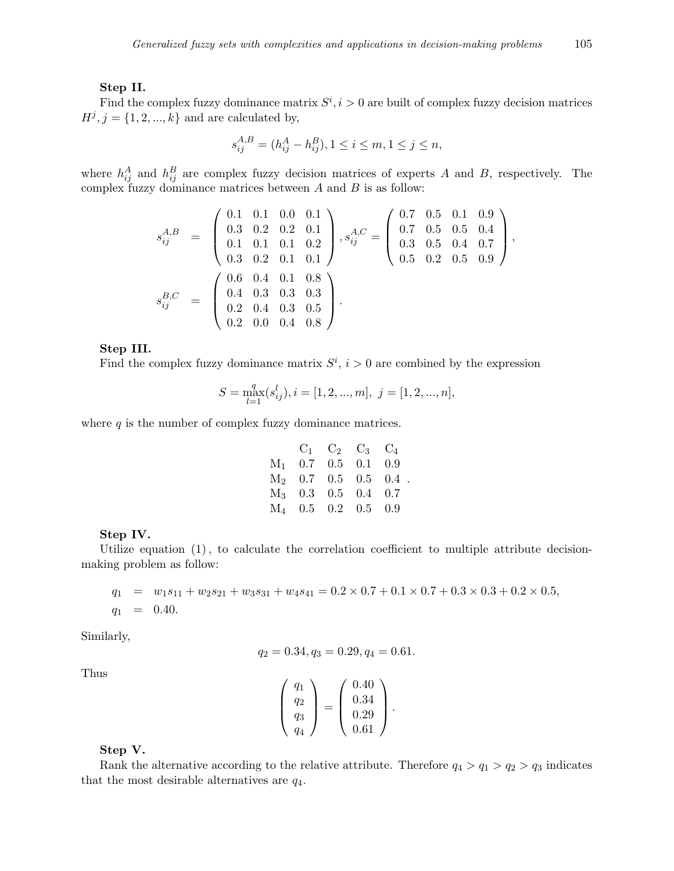#### **Step II.**

Find the complex fuzzy dominance matrix  $S^i$ ,  $i > 0$  are built of complex fuzzy decision matrices  $H^j$ ,  $j = \{1, 2, ..., k\}$  and are calculated by,

$$
s_{ij}^{A,B} = (h_{ij}^A - h_{ij}^B), 1 \le i \le m, 1 \le j \le n,
$$

where  $h_{ij}^A$  and  $h_{ij}^B$  are complex fuzzy decision matrices of experts *A* and *B*, respectively. The complex fuzzy dominance matrices between *A* and *B* is as follow:

$$
s_{ij}^{A,B} = \begin{pmatrix} 0.1 & 0.1 & 0.0 & 0.1 \\ 0.3 & 0.2 & 0.2 & 0.1 \\ 0.1 & 0.1 & 0.1 & 0.2 \\ 0.3 & 0.2 & 0.1 & 0.1 \end{pmatrix}, s_{ij}^{A,C} = \begin{pmatrix} 0.7 & 0.5 & 0.1 & 0.9 \\ 0.7 & 0.5 & 0.5 & 0.4 \\ 0.3 & 0.5 & 0.4 & 0.7 \\ 0.5 & 0.2 & 0.5 & 0.9 \end{pmatrix},
$$
  
\n
$$
s_{ij}^{B,C} = \begin{pmatrix} 0.6 & 0.4 & 0.1 & 0.8 \\ 0.4 & 0.3 & 0.3 & 0.3 \\ 0.2 & 0.4 & 0.3 & 0.5 \\ 0.2 & 0.0 & 0.4 & 0.8 \end{pmatrix}.
$$

**Step III.**

Find the complex fuzzy dominance matrix  $S^i$ ,  $i > 0$  are combined by the expression

$$
S=\max_{l=1}^q(s_{ij}^l), i=[1,2,...,m],\ j=[1,2,...,n],
$$

where *q* is the number of complex fuzzy dominance matrices.

|  | $C_1$ $C_2$ $C_3$ $C_4$ |                        |
|--|-------------------------|------------------------|
|  | $M_1$ 0.7 0.5 0.1 0.9   |                        |
|  |                         | $M_2$ 0.7 0.5 0.5 0.4. |
|  | $M_3$ 0.3 0.5 0.4 0.7   |                        |
|  | $M_4$ 0.5 0.2 0.5 0.9   |                        |

#### **Step IV.**

Utilize equation (1)*,* to calculate the correlation coefficient to multiple attribute decisionmaking problem as follow:

$$
q_1 = w_1 s_{11} + w_2 s_{21} + w_3 s_{31} + w_4 s_{41} = 0.2 \times 0.7 + 0.1 \times 0.7 + 0.3 \times 0.3 + 0.2 \times 0.5,
$$
  

$$
q_1 = 0.40.
$$

Similarly,

$$
q_2 = 0.34, q_3 = 0.29, q_4 = 0.61.
$$

Thus

$$
\left(\begin{array}{c} q_1 \\ q_2 \\ q_3 \\ q_4 \end{array}\right) = \left(\begin{array}{c} 0.40 \\ 0.34 \\ 0.29 \\ 0.61 \end{array}\right).
$$

#### **Step V.**

Rank the alternative according to the relative attribute. Therefore  $q_4 > q_1 > q_2 > q_3$  indicates that the most desirable alternatives are *q*4.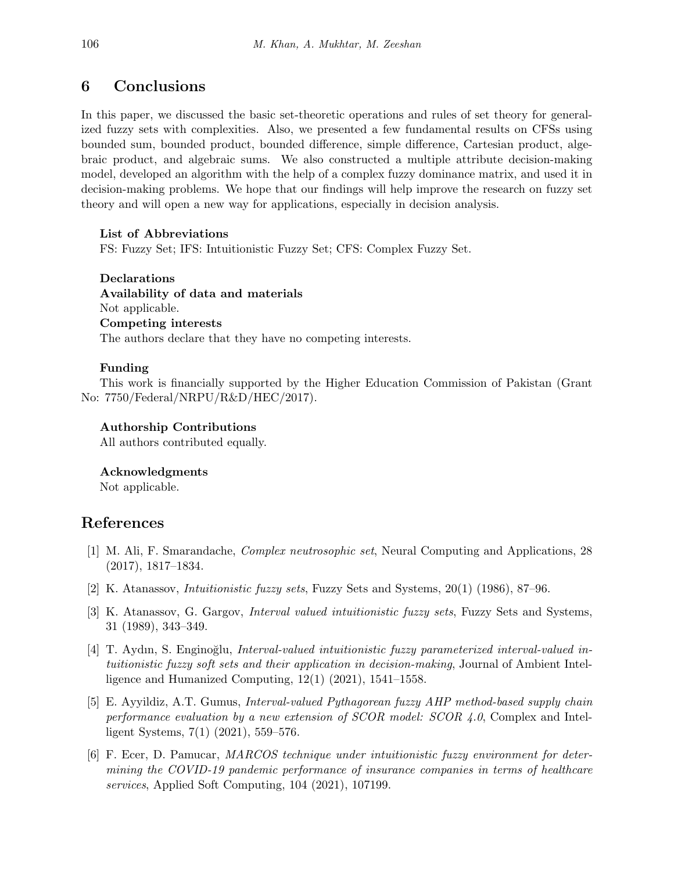## **6 Conclusions**

In this paper, we discussed the basic set-theoretic operations and rules of set theory for generalized fuzzy sets with complexities. Also, we presented a few fundamental results on CFSs using bounded sum, bounded product, bounded difference, simple difference, Cartesian product, algebraic product, and algebraic sums. We also constructed a multiple attribute decision-making model, developed an algorithm with the help of a complex fuzzy dominance matrix, and used it in decision-making problems. We hope that our findings will help improve the research on fuzzy set theory and will open a new way for applications, especially in decision analysis.

### **List of Abbreviations**

FS: Fuzzy Set; IFS: Intuitionistic Fuzzy Set; CFS: Complex Fuzzy Set.

**Declarations Availability of data and materials** Not applicable. **Competing interests** The authors declare that they have no competing interests.

### **Funding**

This work is financially supported by the Higher Education Commission of Pakistan (Grant No: 7750/Federal/NRPU/R&D/HEC/2017).

### **Authorship Contributions**

All authors contributed equally.

#### **Acknowledgments**

Not applicable.

## **References**

- [1] M. Ali, F. Smarandache, *Complex neutrosophic set*, Neural Computing and Applications, 28 (2017), 1817–1834.
- <span id="page-23-0"></span>[2] K. Atanassov, *Intuitionistic fuzzy sets*, Fuzzy Sets and Systems, 20(1) (1986), 87–96.
- <span id="page-23-1"></span>[3] K. Atanassov, G. Gargov, *Interval valued intuitionistic fuzzy sets*, Fuzzy Sets and Systems, 31 (1989), 343–349.
- <span id="page-23-2"></span>[4] T. Aydın, S. Engino˘glu, *Interval-valued intuitionistic fuzzy parameterized interval-valued intuitionistic fuzzy soft sets and their application in decision-making*, Journal of Ambient Intelligence and Humanized Computing,  $12(1)$   $(2021)$ ,  $1541-1558$ .
- <span id="page-23-4"></span>[5] E. Ayyildiz, A.T. Gumus, *Interval-valued Pythagorean fuzzy AHP method-based supply chain performance evaluation by a new extension of SCOR model: SCOR 4.0*, Complex and Intelligent Systems, 7(1) (2021), 559–576.
- <span id="page-23-3"></span>[6] F. Ecer, D. Pamucar, *MARCOS technique under intuitionistic fuzzy environment for determining the COVID-19 pandemic performance of insurance companies in terms of healthcare services*, Applied Soft Computing, 104 (2021), 107199.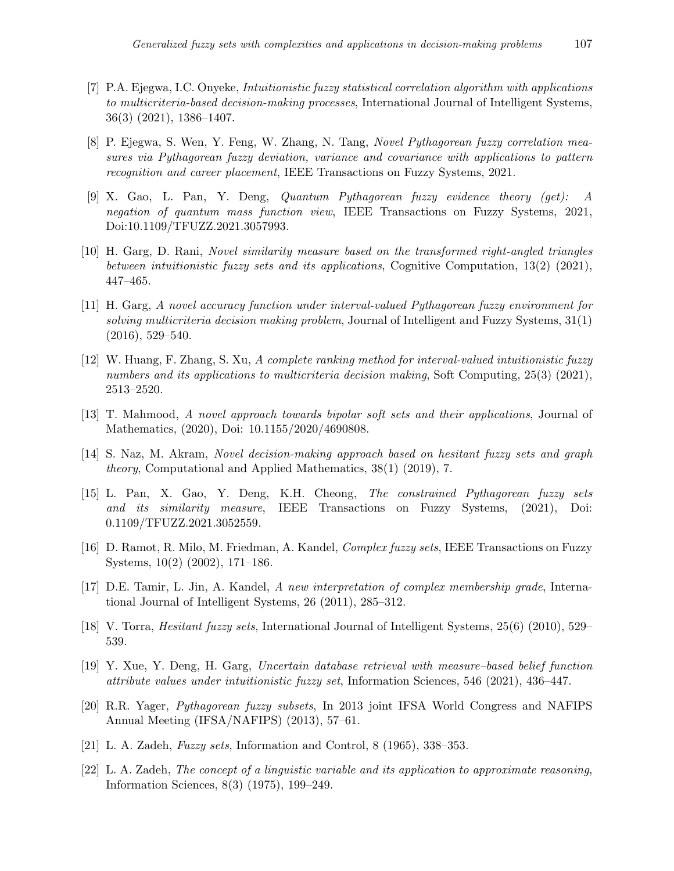- <span id="page-24-4"></span>[7] P.A. Ejegwa, I.C. Onyeke, *Intuitionistic fuzzy statistical correlation algorithm with applications to multicriteria-based decision-making processes*, International Journal of Intelligent Systems, 36(3) (2021), 1386–1407.
- <span id="page-24-9"></span>[8] P. Ejegwa, S. Wen, Y. Feng, W. Zhang, N. Tang, *Novel Pythagorean fuzzy correlation measures via Pythagorean fuzzy deviation, variance and covariance with applications to pattern recognition and career placement*, IEEE Transactions on Fuzzy Systems, 2021.
- [9] X. Gao, L. Pan, Y. Deng, *Quantum Pythagorean fuzzy evidence theory (get): A negation of quantum mass function view*, IEEE Transactions on Fuzzy Systems, 2021, Doi:10.1109/TFUZZ.2021.3057993.
- <span id="page-24-3"></span>[10] H. Garg, D. Rani, *Novel similarity measure based on the transformed right-angled triangles between intuitionistic fuzzy sets and its applications*, Cognitive Computation, 13(2) (2021), 447–465.
- <span id="page-24-8"></span>[11] H. Garg, *A novel accuracy function under interval-valued Pythagorean fuzzy environment for solving multicriteria decision making problem*, Journal of Intelligent and Fuzzy Systems, 31(1)  $(2016), 529 - 540.$
- <span id="page-24-6"></span>[12] W. Huang, F. Zhang, S. Xu, *A complete ranking method for interval-valued intuitionistic fuzzy numbers and its applications to multicriteria decision making*, Soft Computing, 25(3) (2021), 2513–2520.
- [13] T. Mahmood, *A novel approach towards bipolar soft sets and their applications*, Journal of Mathematics, (2020), Doi: 10.1155/2020/4690808.
- [14] S. Naz, M. Akram, *Novel decision-making approach based on hesitant fuzzy sets and graph theory*, Computational and Applied Mathematics, 38(1) (2019), 7.
- <span id="page-24-10"></span>[15] L. Pan, X. Gao, Y. Deng, K.H. Cheong, *The constrained Pythagorean fuzzy sets and its similarity measure*, IEEE Transactions on Fuzzy Systems, (2021), Doi: 0.1109/TFUZZ.2021.3052559.
- <span id="page-24-11"></span>[16] D. Ramot, R. Milo, M. Friedman, A. Kandel, *Complex fuzzy sets*, IEEE Transactions on Fuzzy Systems, 10(2) (2002), 171–186.
- [17] D.E. Tamir, L. Jin, A. Kandel, *A new interpretation of complex membership grade*, International Journal of Intelligent Systems, 26 (2011), 285–312.
- <span id="page-24-2"></span>[18] V. Torra, *Hesitant fuzzy sets*, International Journal of Intelligent Systems, 25(6) (2010), 529– 539.
- <span id="page-24-5"></span>[19] Y. Xue, Y. Deng, H. Garg, *Uncertain database retrieval with measure–based belief function attribute values under intuitionistic fuzzy set*, Information Sciences, 546 (2021), 436–447.
- <span id="page-24-7"></span>[20] R.R. Yager, *Pythagorean fuzzy subsets*, In 2013 joint IFSA World Congress and NAFIPS Annual Meeting (IFSA/NAFIPS) (2013), 57–61.
- <span id="page-24-0"></span>[21] L. A. Zadeh, *Fuzzy sets*, Information and Control, 8 (1965), 338–353.
- <span id="page-24-1"></span>[22] L. A. Zadeh, *The concept of a linguistic variable and its application to approximate reasoning*, Information Sciences, 8(3) (1975), 199–249.